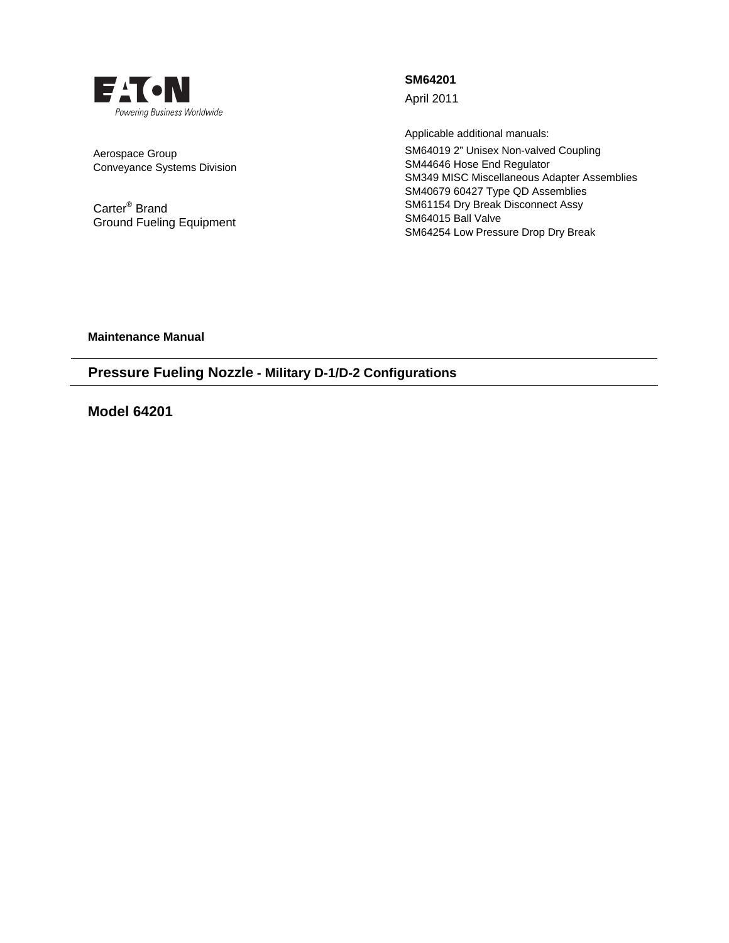

Aerospace Group Conveyance Systems Division

Carter® Brand Ground Fueling Equipment **SM64201** 

April 2011

Applicable additional manuals: SM64019 2" Unisex Non-valved Coupling SM44646 Hose End Regulator SM349 MISC Miscellaneous Adapter Assemblies SM40679 60427 Type QD Assemblies SM61154 Dry Break Disconnect Assy SM64015 Ball Valve SM64254 Low Pressure Drop Dry Break

**Maintenance Manual** 

# **Pressure Fueling Nozzle - Military D-1/D-2 Configurations**

**Model 64201**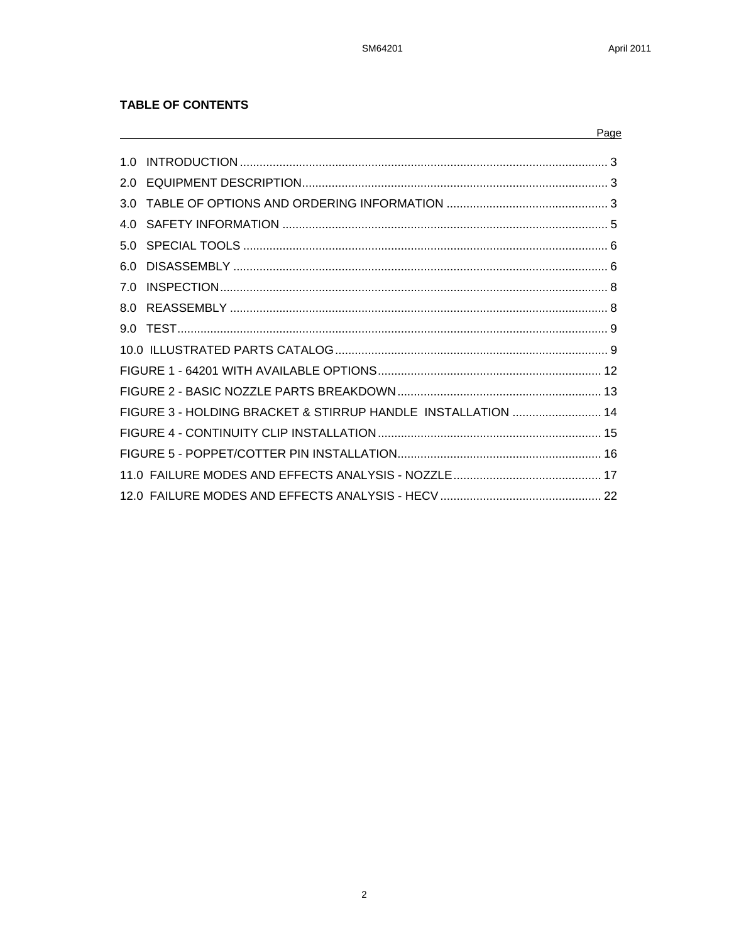## **TABLE OF CONTENTS**

|     |                                                              | Page |
|-----|--------------------------------------------------------------|------|
| 10  |                                                              |      |
| 2.0 |                                                              |      |
| 3.0 |                                                              |      |
| 4 O |                                                              |      |
|     |                                                              |      |
|     |                                                              |      |
|     |                                                              |      |
|     |                                                              |      |
|     |                                                              |      |
|     |                                                              |      |
|     |                                                              |      |
|     |                                                              |      |
|     | FIGURE 3 - HOLDING BRACKET & STIRRUP HANDLE INSTALLATION  14 |      |
|     |                                                              |      |
|     |                                                              |      |
|     |                                                              |      |
|     |                                                              |      |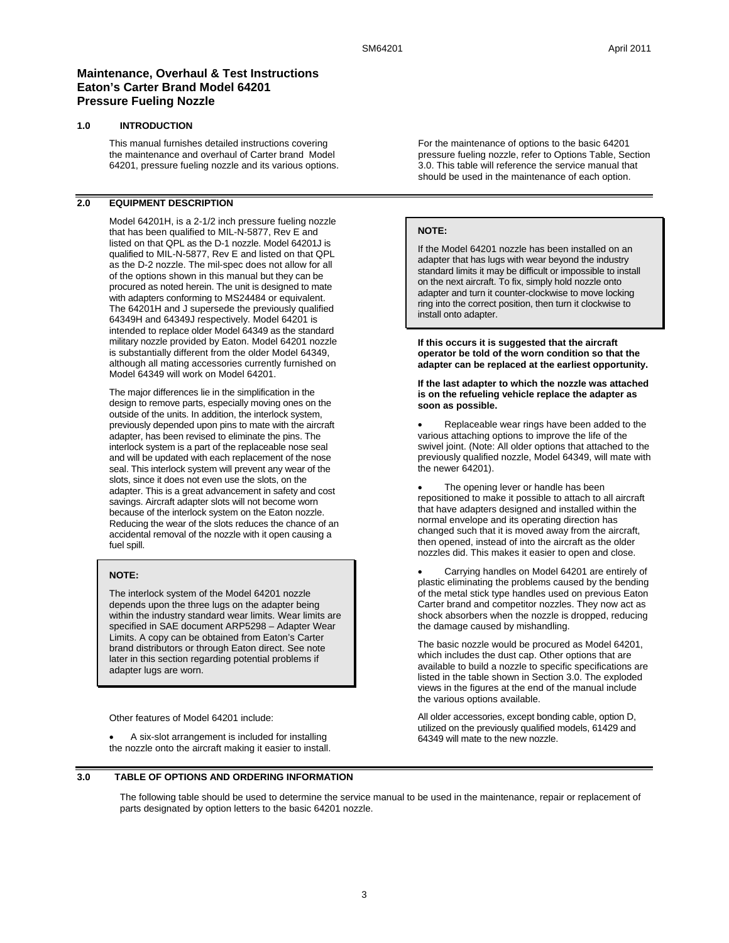## **Maintenance, Overhaul & Test Instructions Eaton's Carter Brand Model 64201 Pressure Fueling Nozzle**

### **1.0 INTRODUCTION**

This manual furnishes detailed instructions covering the maintenance and overhaul of Carter brand Model 64201, pressure fueling nozzle and its various options.

## **2.0 EQUIPMENT DESCRIPTION**

Model 64201H, is a 2-1/2 inch pressure fueling nozzle that has been qualified to MIL-N-5877, Rev E and listed on that QPL as the D-1 nozzle. Model 64201J is qualified to MIL-N-5877, Rev E and listed on that QPL as the D-2 nozzle. The mil-spec does not allow for all of the options shown in this manual but they can be procured as noted herein. The unit is designed to mate with adapters conforming to MS24484 or equivalent. The 64201H and J supersede the previously qualified 64349H and 64349J respectively. Model 64201 is intended to replace older Model 64349 as the standard military nozzle provided by Eaton. Model 64201 nozzle is substantially different from the older Model 64349, although all mating accessories currently furnished on Model 64349 will work on Model 64201.

The major differences lie in the simplification in the design to remove parts, especially moving ones on the outside of the units. In addition, the interlock system, previously depended upon pins to mate with the aircraft adapter, has been revised to eliminate the pins. The interlock system is a part of the replaceable nose seal and will be updated with each replacement of the nose seal. This interlock system will prevent any wear of the slots, since it does not even use the slots, on the adapter. This is a great advancement in safety and cost savings. Aircraft adapter slots will not become worn because of the interlock system on the Eaton nozzle. Reducing the wear of the slots reduces the chance of an accidental removal of the nozzle with it open causing a fuel spill.

### **NOTE:**

The interlock system of the Model 64201 nozzle depends upon the three lugs on the adapter being within the industry standard wear limits. Wear limits are specified in SAE document ARP5298 – Adapter Wear Limits. A copy can be obtained from Eaton's Carter brand distributors or through Eaton direct. See note later in this section regarding potential problems if adapter lugs are worn.

Other features of Model 64201 include:

 A six-slot arrangement is included for installing the nozzle onto the aircraft making it easier to install. For the maintenance of options to the basic 64201 pressure fueling nozzle, refer to Options Table, Section 3.0. This table will reference the service manual that should be used in the maintenance of each option.

#### **NOTE:**

If the Model 64201 nozzle has been installed on an adapter that has lugs with wear beyond the industry standard limits it may be difficult or impossible to install on the next aircraft. To fix, simply hold nozzle onto adapter and turn it counter-clockwise to move locking ring into the correct position, then turn it clockwise to install onto adapter.

**If this occurs it is suggested that the aircraft operator be told of the worn condition so that the adapter can be replaced at the earliest opportunity.** 

**If the last adapter to which the nozzle was attached is on the refueling vehicle replace the adapter as soon as possible.** 

 Replaceable wear rings have been added to the various attaching options to improve the life of the swivel joint. (Note: All older options that attached to the previously qualified nozzle, Model 64349, will mate with the newer 64201).

 The opening lever or handle has been repositioned to make it possible to attach to all aircraft that have adapters designed and installed within the normal envelope and its operating direction has changed such that it is moved away from the aircraft, then opened, instead of into the aircraft as the older nozzles did. This makes it easier to open and close.

 Carrying handles on Model 64201 are entirely of plastic eliminating the problems caused by the bending of the metal stick type handles used on previous Eaton Carter brand and competitor nozzles. They now act as shock absorbers when the nozzle is dropped, reducing the damage caused by mishandling.

The basic nozzle would be procured as Model 64201, which includes the dust cap. Other options that are available to build a nozzle to specific specifications are listed in the table shown in Section 3.0. The exploded views in the figures at the end of the manual include the various options available.

All older accessories, except bonding cable, option D, utilized on the previously qualified models, 61429 and 64349 will mate to the new nozzle.

### **3.0 TABLE OF OPTIONS AND ORDERING INFORMATION**

The following table should be used to determine the service manual to be used in the maintenance, repair or replacement of parts designated by option letters to the basic 64201 nozzle.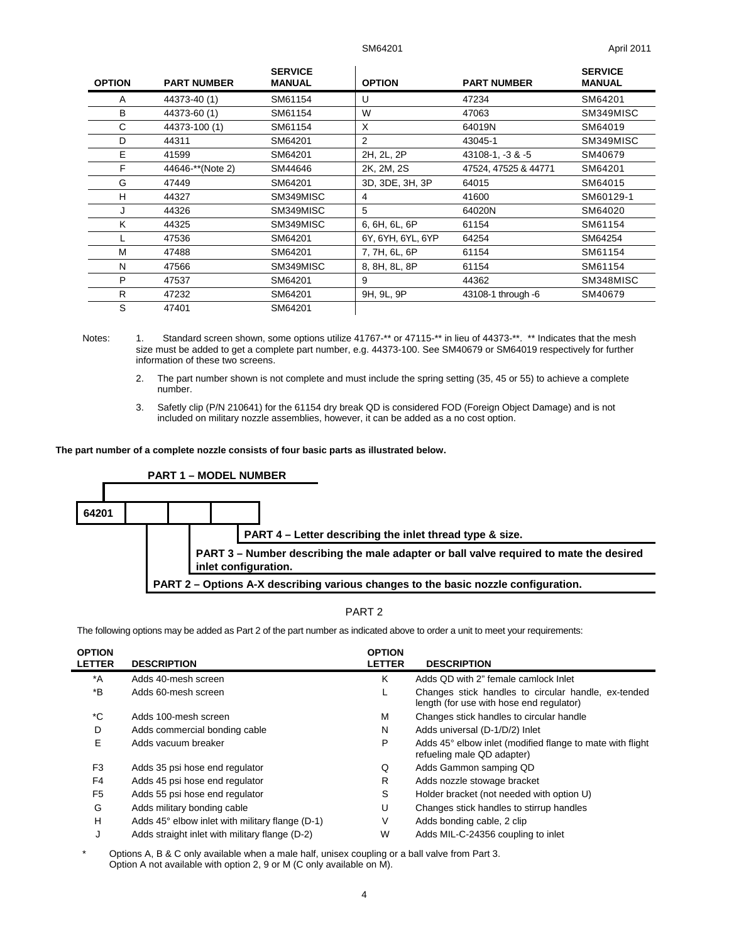| <b>OPTION</b> | <b>PART NUMBER</b> | <b>SERVICE</b><br><b>MANUAL</b> | <b>OPTION</b>     | <b>PART NUMBER</b>   | <b>SERVICE</b><br><b>MANUAL</b> |
|---------------|--------------------|---------------------------------|-------------------|----------------------|---------------------------------|
| A             | 44373-40 (1)       | SM61154                         | U                 | 47234                | SM64201                         |
| в             | 44373-60 (1)       | SM61154                         | W                 | 47063                | SM349MISC                       |
| C             | 44373-100 (1)      | SM61154                         | X                 | 64019N               | SM64019                         |
| D             | 44311              | SM64201                         | 2                 | 43045-1              | SM349MISC                       |
| E             | 41599              | SM64201                         | 2H, 2L, 2P        | 43108-1, -3 & -5     | SM40679                         |
| F             | 44646-**(Note 2)   | SM44646                         | 2K, 2M, 2S        | 47524, 47525 & 44771 | SM64201                         |
| G             | 47449              | SM64201                         | 3D, 3DE, 3H, 3P   | 64015                | SM64015                         |
| н             | 44327              | SM349MISC                       | 4                 | 41600                | SM60129-1                       |
| J             | 44326              | SM349MISC                       | 5                 | 64020N               | SM64020                         |
| K             | 44325              | SM349MISC                       | 6, 6H, 6L, 6P     | 61154                | SM61154                         |
|               | 47536              | SM64201                         | 6Y, 6YH, 6YL, 6YP | 64254                | SM64254                         |
| M             | 47488              | SM64201                         | 7, 7H, 6L, 6P     | 61154                | SM61154                         |
| N             | 47566              | SM349MISC                       | 8, 8H, 8L, 8P     | 61154                | SM61154                         |
| P             | 47537              | SM64201                         | 9                 | 44362                | SM348MISC                       |
| R             | 47232              | SM64201                         | 9H, 9L, 9P        | 43108-1 through -6   | SM40679                         |
| S             | 47401              | SM64201                         |                   |                      |                                 |

Notes: 1. Standard screen shown, some options utilize 41767-\*\* or 47115-\*\* in lieu of 44373-\*\*. \*\* Indicates that the mesh size must be added to get a complete part number, e.g. 44373-100. See SM40679 or SM64019 respectively for further information of these two screens.

- 2. The part number shown is not complete and must include the spring setting (35, 45 or 55) to achieve a complete number.
- 3. Safetly clip (P/N 210641) for the 61154 dry break QD is considered FOD (Foreign Object Damage) and is not included on military nozzle assemblies, however, it can be added as a no cost option.

**The part number of a complete nozzle consists of four basic parts as illustrated below.** 



## PART 2

The following options may be added as Part 2 of the part number as indicated above to order a unit to meet your requirements:

| <b>OPTION</b>  |                                                 | <b>OPTION</b> |                                                                                                 |
|----------------|-------------------------------------------------|---------------|-------------------------------------------------------------------------------------------------|
| <b>LETTER</b>  | <b>DESCRIPTION</b>                              | <b>LETTER</b> | <b>DESCRIPTION</b>                                                                              |
| $^*A$          | Adds 40-mesh screen                             | ĸ             | Adds QD with 2" female camlock Inlet                                                            |
| *B             | Adds 60-mesh screen                             |               | Changes stick handles to circular handle, ex-tended<br>length (for use with hose end regulator) |
| *C             | Adds 100-mesh screen                            | М             | Changes stick handles to circular handle                                                        |
| D              | Adds commercial bonding cable                   | N             | Adds universal (D-1/D/2) Inlet                                                                  |
| E              | Adds vacuum breaker                             | P             | Adds 45° elbow inlet (modified flange to mate with flight<br>refueling male QD adapter)         |
| F <sub>3</sub> | Adds 35 psi hose end regulator                  | Q             | Adds Gammon samping QD                                                                          |
| F <sub>4</sub> | Adds 45 psi hose end regulator                  | R             | Adds nozzle stowage bracket                                                                     |
| F <sub>5</sub> | Adds 55 psi hose end regulator                  | S             | Holder bracket (not needed with option U)                                                       |
| G              | Adds military bonding cable                     | U             | Changes stick handles to stirrup handles                                                        |
| н              | Adds 45° elbow inlet with military flange (D-1) | V             | Adds bonding cable, 2 clip                                                                      |
| J              | Adds straight inlet with military flange (D-2)  | W             | Adds MIL-C-24356 coupling to inlet                                                              |

Options A, B & C only available when a male half, unisex coupling or a ball valve from Part 3. Option A not available with option 2, 9 or M (C only available on M).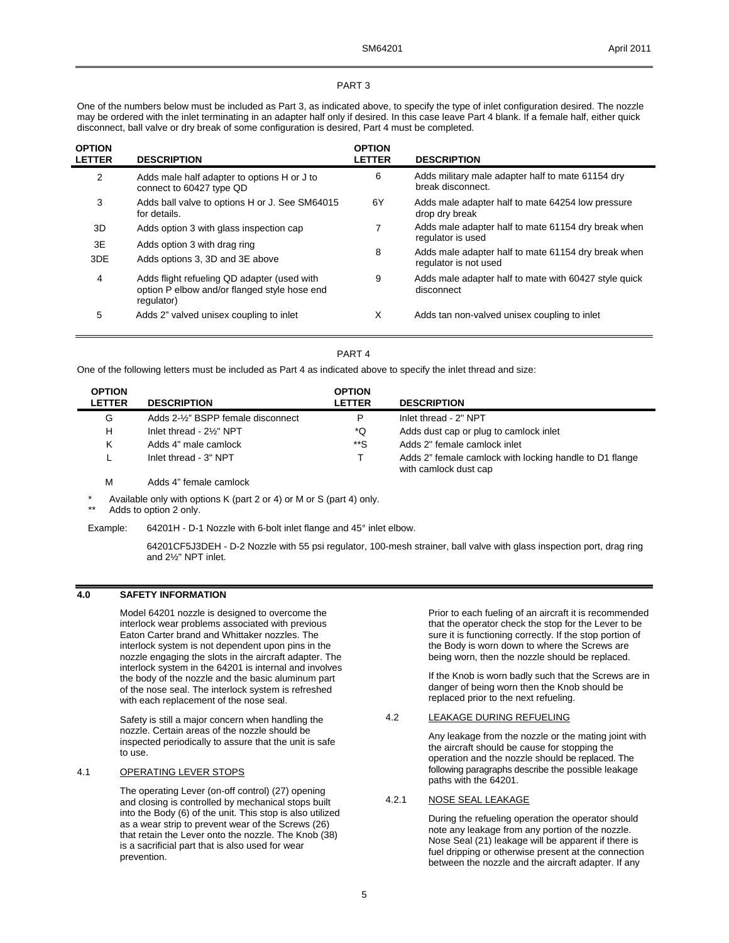### PART 3

One of the numbers below must be included as Part 3, as indicated above, to specify the type of inlet configuration desired. The nozzle may be ordered with the inlet terminating in an adapter half only if desired. In this case leave Part 4 blank. If a female half, either quick disconnect, ball valve or dry break of some configuration is desired, Part 4 must be completed.

| <b>OPTION</b><br><b>LETTER</b> | <b>DESCRIPTION</b>                                                                                        | <b>OPTION</b><br><b>LETTER</b> | <b>DESCRIPTION</b>                                                           |
|--------------------------------|-----------------------------------------------------------------------------------------------------------|--------------------------------|------------------------------------------------------------------------------|
| 2                              | Adds male half adapter to options H or J to<br>connect to 60427 type QD                                   | 6                              | Adds military male adapter half to mate 61154 dry<br>break disconnect.       |
| 3                              | Adds ball valve to options H or J. See SM64015<br>for details.                                            | 6Y                             | Adds male adapter half to mate 64254 low pressure<br>drop dry break          |
| 3D                             | Adds option 3 with glass inspection cap                                                                   |                                | Adds male adapter half to mate 61154 dry break when<br>regulator is used     |
| 3E<br>3DE                      | Adds option 3 with drag ring<br>Adds options 3, 3D and 3E above                                           | 8                              | Adds male adapter half to mate 61154 dry break when<br>regulator is not used |
| 4                              | Adds flight refueling QD adapter (used with<br>option P elbow and/or flanged style hose end<br>regulator) | 9                              | Adds male adapter half to mate with 60427 style quick<br>disconnect          |
| 5                              | Adds 2" valved unisex coupling to inlet                                                                   | X                              | Adds tan non-valved unisex coupling to inlet                                 |

### PART 4

One of the following letters must be included as Part 4 as indicated above to specify the inlet thread and size:

| <b>OPTION</b><br><b>LETTER</b> | <b>DESCRIPTION</b>                 | <b>OPTION</b><br><b>LETTER</b> | <b>DESCRIPTION</b>                                                               |
|--------------------------------|------------------------------------|--------------------------------|----------------------------------------------------------------------------------|
| G                              | Adds 2-1/2" BSPP female disconnect | P                              | Inlet thread - 2" NPT                                                            |
| н                              | Inlet thread - 2%" NPT             | *Q                             | Adds dust cap or plug to camlock inlet                                           |
| κ                              | Adds 4" male camlock               | **S                            | Adds 2" female camlock inlet                                                     |
|                                | Inlet thread - 3" NPT              |                                | Adds 2" female camlock with locking handle to D1 flange<br>with camlock dust cap |

M Adds 4" female camlock

\* Available only with options K (part 2 or 4) or M or S (part 4) only. Adds to option 2 only.

Example: 64201H - D-1 Nozzle with 6-bolt inlet flange and 45° inlet elbow.

 64201CF5J3DEH - D-2 Nozzle with 55 psi regulator, 100-mesh strainer, ball valve with glass inspection port, drag ring and 2½" NPT inlet.

### **4.0 SAFETY INFORMATION**

Model 64201 nozzle is designed to overcome the interlock wear problems associated with previous Eaton Carter brand and Whittaker nozzles. The interlock system is not dependent upon pins in the nozzle engaging the slots in the aircraft adapter. The interlock system in the 64201 is internal and involves the body of the nozzle and the basic aluminum part of the nose seal. The interlock system is refreshed with each replacement of the nose seal.

Safety is still a major concern when handling the nozzle. Certain areas of the nozzle should be inspected periodically to assure that the unit is safe to use.

### 4.1 OPERATING LEVER STOPS

The operating Lever (on-off control) (27) opening and closing is controlled by mechanical stops built into the Body (6) of the unit. This stop is also utilized as a wear strip to prevent wear of the Screws (26) that retain the Lever onto the nozzle. The Knob (38) is a sacrificial part that is also used for wear prevention.

Prior to each fueling of an aircraft it is recommended that the operator check the stop for the Lever to be sure it is functioning correctly. If the stop portion of the Body is worn down to where the Screws are being worn, then the nozzle should be replaced.

If the Knob is worn badly such that the Screws are in danger of being worn then the Knob should be replaced prior to the next refueling.

### 4.2 LEAKAGE DURING REFUELING

Any leakage from the nozzle or the mating joint with the aircraft should be cause for stopping the operation and the nozzle should be replaced. The following paragraphs describe the possible leakage paths with the 64201.

### 4.2.1 NOSE SEAL LEAKAGE

During the refueling operation the operator should note any leakage from any portion of the nozzle. Nose Seal (21) leakage will be apparent if there is fuel dripping or otherwise present at the connection between the nozzle and the aircraft adapter. If any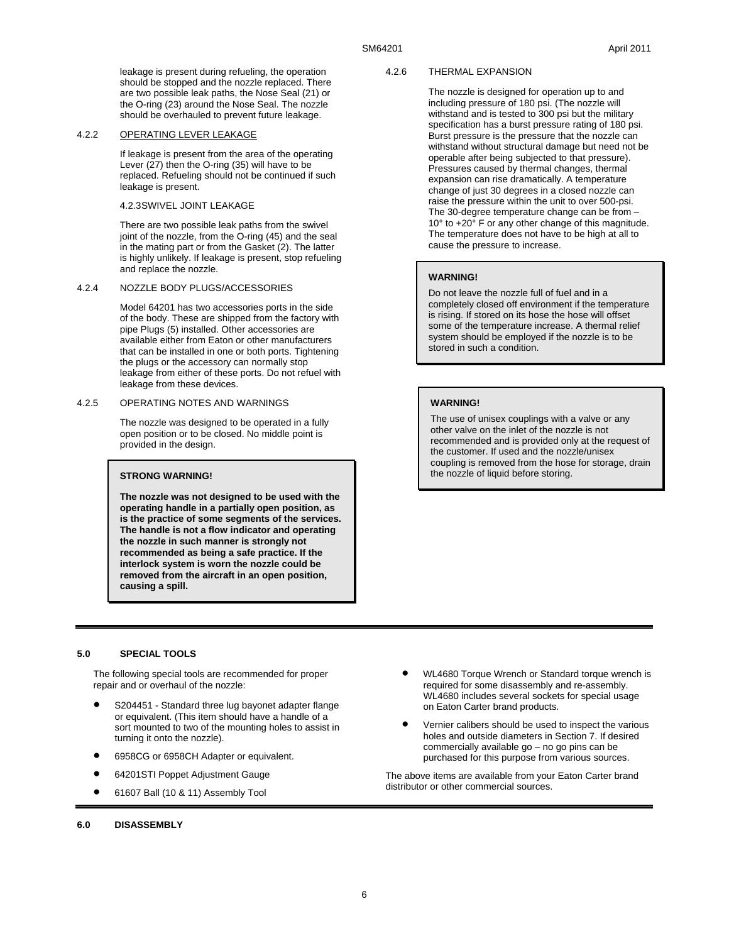leakage is present during refueling, the operation should be stopped and the nozzle replaced. There are two possible leak paths, the Nose Seal (21) or the O-ring (23) around the Nose Seal. The nozzle should be overhauled to prevent future leakage.

#### 4.2.2 OPERATING LEVER LEAKAGE

If leakage is present from the area of the operating Lever (27) then the O-ring (35) will have to be replaced. Refueling should not be continued if such leakage is present.

#### 4.2.3 SWIVEL JOINT LEAKAGE

There are two possible leak paths from the swivel joint of the nozzle, from the O-ring (45) and the seal in the mating part or from the Gasket (2). The latter is highly unlikely. If leakage is present, stop refueling and replace the nozzle.

#### 4.2.4 NOZZLE BODY PLUGS/ACCESSORIES

Model 64201 has two accessories ports in the side of the body. These are shipped from the factory with pipe Plugs (5) installed. Other accessories are available either from Eaton or other manufacturers that can be installed in one or both ports. Tightening the plugs or the accessory can normally stop leakage from either of these ports. Do not refuel with leakage from these devices.

#### 4.2.5 OPERATING NOTES AND WARNINGS

The nozzle was designed to be operated in a fully open position or to be closed. No middle point is provided in the design.

### **STRONG WARNING!**

**The nozzle was not designed to be used with the operating handle in a partially open position, as is the practice of some segments of the services. The handle is not a flow indicator and operating the nozzle in such manner is strongly not recommended as being a safe practice. If the interlock system is worn the nozzle could be removed from the aircraft in an open position, causing a spill.** 

#### 4.2.6 THERMAL EXPANSION

The nozzle is designed for operation up to and including pressure of 180 psi. (The nozzle will withstand and is tested to 300 psi but the military specification has a burst pressure rating of 180 psi. Burst pressure is the pressure that the nozzle can withstand without structural damage but need not be operable after being subjected to that pressure). Pressures caused by thermal changes, thermal expansion can rise dramatically. A temperature change of just 30 degrees in a closed nozzle can raise the pressure within the unit to over 500-psi. The 30-degree temperature change can be from – 10° to +20° F or any other change of this magnitude. The temperature does not have to be high at all to cause the pressure to increase.

### **WARNING!**

Do not leave the nozzle full of fuel and in a completely closed off environment if the temperature is rising. If stored on its hose the hose will offset some of the temperature increase. A thermal relief system should be employed if the nozzle is to be stored in such a condition.

#### **WARNING!**

The use of unisex couplings with a valve or any other valve on the inlet of the nozzle is not recommended and is provided only at the request of the customer. If used and the nozzle/unisex coupling is removed from the hose for storage, drain the nozzle of liquid before storing.

#### **5.0 SPECIAL TOOLS**

The following special tools are recommended for proper repair and or overhaul of the nozzle:

- S204451 Standard three lug bayonet adapter flange or equivalent. (This item should have a handle of a sort mounted to two of the mounting holes to assist in turning it onto the nozzle).
- 6958CG or 6958CH Adapter or equivalent.
- 64201STI Poppet Adjustment Gauge
- 61607 Ball (10 & 11) Assembly Tool
- WL4680 Torque Wrench or Standard torque wrench is required for some disassembly and re-assembly. WL4680 includes several sockets for special usage on Eaton Carter brand products.
- Vernier calibers should be used to inspect the various holes and outside diameters in Section 7. If desired commercially available go – no go pins can be purchased for this purpose from various sources.

The above items are available from your Eaton Carter brand distributor or other commercial sources.

#### **6.0 DISASSEMBLY**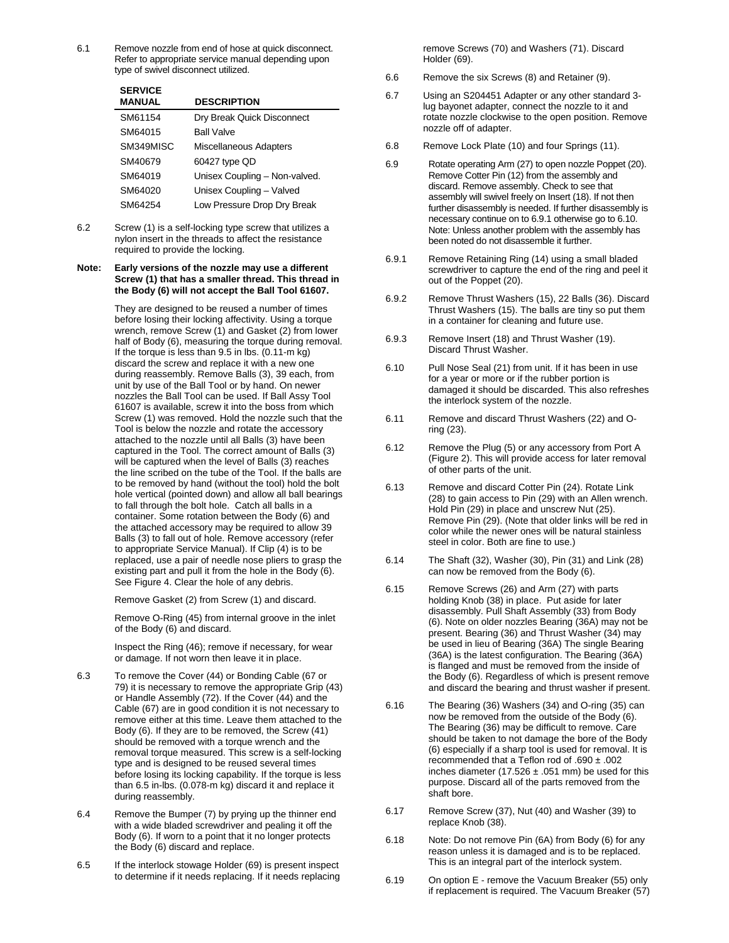6.1 Remove nozzle from end of hose at quick disconnect. Refer to appropriate service manual depending upon type of swivel disconnect utilized.

| <b>SERVICE</b><br><b>MANUAL</b> | <b>DESCRIPTION</b>            |
|---------------------------------|-------------------------------|
| SM61154                         | Dry Break Quick Disconnect    |
| SM64015                         | <b>Ball Valve</b>             |
| SM349MISC                       | Miscellaneous Adapters        |
| SM40679                         | 60427 type QD                 |
| SM64019                         | Unisex Coupling - Non-valved. |
| SM64020                         | Unisex Coupling - Valved      |
| SM64254                         | Low Pressure Drop Dry Break   |
|                                 |                               |

6.2 Screw (1) is a self-locking type screw that utilizes a nylon insert in the threads to affect the resistance required to provide the locking.

#### **Note: Early versions of the nozzle may use a different Screw (1) that has a smaller thread. This thread in the Body (6) will not accept the Ball Tool 61607.**

 They are designed to be reused a number of times before losing their locking affectivity. Using a torque wrench, remove Screw (1) and Gasket (2) from lower half of Body (6), measuring the torque during removal. If the torque is less than  $9.5$  in lbs.  $(0.11 - m \text{ kg})$ discard the screw and replace it with a new one during reassembly. Remove Balls (3), 39 each, from unit by use of the Ball Tool or by hand. On newer nozzles the Ball Tool can be used. If Ball Assy Tool 61607 is available, screw it into the boss from which Screw (1) was removed. Hold the nozzle such that the Tool is below the nozzle and rotate the accessory attached to the nozzle until all Balls (3) have been captured in the Tool. The correct amount of Balls (3) will be captured when the level of Balls (3) reaches the line scribed on the tube of the Tool. If the balls are to be removed by hand (without the tool) hold the bolt hole vertical (pointed down) and allow all ball bearings to fall through the bolt hole. Catch all balls in a container. Some rotation between the Body (6) and the attached accessory may be required to allow 39 Balls (3) to fall out of hole. Remove accessory (refer to appropriate Service Manual). If Clip (4) is to be replaced, use a pair of needle nose pliers to grasp the existing part and pull it from the hole in the Body (6). See Figure 4. Clear the hole of any debris.

Remove Gasket (2) from Screw (1) and discard.

 Remove O-Ring (45) from internal groove in the inlet of the Body (6) and discard.

 Inspect the Ring (46); remove if necessary, for wear or damage. If not worn then leave it in place.

- 6.3 To remove the Cover (44) or Bonding Cable (67 or 79) it is necessary to remove the appropriate Grip (43) or Handle Assembly (72). If the Cover (44) and the Cable (67) are in good condition it is not necessary to remove either at this time. Leave them attached to the Body (6). If they are to be removed, the Screw (41) should be removed with a torque wrench and the removal torque measured. This screw is a self-locking type and is designed to be reused several times before losing its locking capability. If the torque is less than 6.5 in-lbs. (0.078-m kg) discard it and replace it during reassembly.
- 6.4 Remove the Bumper (7) by prying up the thinner end with a wide bladed screwdriver and pealing it off the Body (6). If worn to a point that it no longer protects the Body (6) discard and replace.
- 6.5 If the interlock stowage Holder (69) is present inspect to determine if it needs replacing. If it needs replacing

remove Screws (70) and Washers (71). Discard Holder (69).

- 6.6 Remove the six Screws (8) and Retainer (9).
- 6.7 Using an S204451 Adapter or any other standard 3 lug bayonet adapter, connect the nozzle to it and rotate nozzle clockwise to the open position. Remove nozzle off of adapter.
- 6.8 Remove Lock Plate (10) and four Springs (11).
- 6.9 Rotate operating Arm (27) to open nozzle Poppet (20). Remove Cotter Pin (12) from the assembly and discard. Remove assembly. Check to see that assembly will swivel freely on Insert (18). If not then further disassembly is needed. If further disassembly is necessary continue on to 6.9.1 otherwise go to 6.10. Note: Unless another problem with the assembly has been noted do not disassemble it further.
- 6.9.1 Remove Retaining Ring (14) using a small bladed screwdriver to capture the end of the ring and peel it out of the Poppet (20).
- 6.9.2 Remove Thrust Washers (15), 22 Balls (36). Discard Thrust Washers (15). The balls are tiny so put them in a container for cleaning and future use.
- 6.9.3 Remove Insert (18) and Thrust Washer (19). Discard Thrust Washer.
- 6.10 Pull Nose Seal (21) from unit. If it has been in use for a year or more or if the rubber portion is damaged it should be discarded. This also refreshes the interlock system of the nozzle.
- 6.11 Remove and discard Thrust Washers (22) and Oring (23).
- 6.12 Remove the Plug (5) or any accessory from Port A (Figure 2). This will provide access for later removal of other parts of the unit.
- 6.13 Remove and discard Cotter Pin (24). Rotate Link (28) to gain access to Pin (29) with an Allen wrench. Hold Pin (29) in place and unscrew Nut (25). Remove Pin (29). (Note that older links will be red in color while the newer ones will be natural stainless steel in color. Both are fine to use.)
- 6.14 The Shaft (32), Washer (30), Pin (31) and Link (28) can now be removed from the Body (6).
- 6.15 Remove Screws (26) and Arm (27) with parts holding Knob (38) in place. Put aside for later disassembly. Pull Shaft Assembly (33) from Body (6). Note on older nozzles Bearing (36A) may not be present. Bearing (36) and Thrust Washer (34) may be used in lieu of Bearing (36A) The single Bearing (36A) is the latest configuration. The Bearing (36A) is flanged and must be removed from the inside of the Body (6). Regardless of which is present remove and discard the bearing and thrust washer if present.
- 6.16 The Bearing (36) Washers (34) and O-ring (35) can now be removed from the outside of the Body (6). The Bearing (36) may be difficult to remove. Care should be taken to not damage the bore of the Body (6) especially if a sharp tool is used for removal. It is recommended that a Teflon rod of .690 ± .002 inches diameter (17.526  $\pm$  .051 mm) be used for this purpose. Discard all of the parts removed from the shaft bore.
- 6.17 Remove Screw (37), Nut (40) and Washer (39) to replace Knob (38).
- 6.18 Note: Do not remove Pin (6A) from Body (6) for any reason unless it is damaged and is to be replaced. This is an integral part of the interlock system.
- 6.19 On option E remove the Vacuum Breaker (55) only if replacement is required. The Vacuum Breaker (57)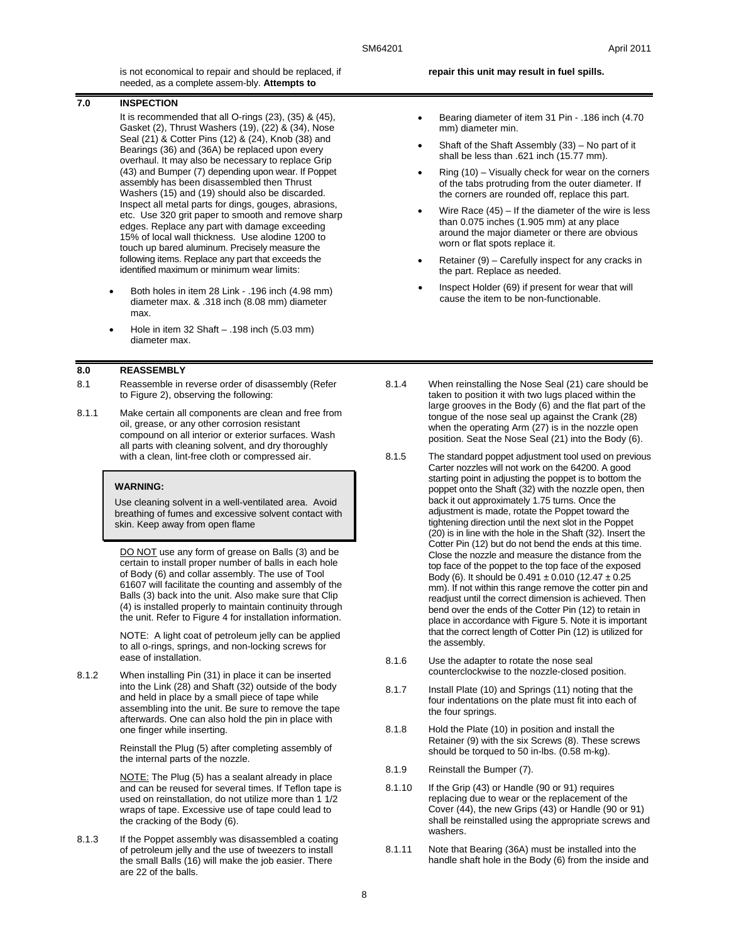is not economical to repair and should be replaced, if needed, as a complete assem-bly. **Attempts to** 

#### **7.0 INSPECTION**

It is recommended that all O-rings (23), (35) & (45), Gasket (2), Thrust Washers (19), (22) & (34), Nose Seal (21) & Cotter Pins (12) & (24), Knob (38) and Bearings (36) and (36A) be replaced upon every overhaul. It may also be necessary to replace Grip (43) and Bumper (7) depending upon wear. If Poppet assembly has been disassembled then Thrust Washers (15) and (19) should also be discarded. Inspect all metal parts for dings, gouges, abrasions, etc. Use 320 grit paper to smooth and remove sharp edges. Replace any part with damage exceeding 15% of local wall thickness. Use alodine 1200 to touch up bared aluminum. Precisely measure the following items. Replace any part that exceeds the identified maximum or minimum wear limits:

- Both holes in item 28 Link .196 inch (4.98 mm) diameter max. & .318 inch (8.08 mm) diameter max.
- Hole in item 32 Shaft .198 inch (5.03 mm) diameter max.

#### **8.0 REASSEMBLY**

- 8.1 Reassemble in reverse order of disassembly (Refer to Figure 2), observing the following:
- 8.1.1 Make certain all components are clean and free from oil, grease, or any other corrosion resistant compound on all interior or exterior surfaces. Wash all parts with cleaning solvent, and dry thoroughly with a clean, lint-free cloth or compressed air.

#### **WARNING:**

Use cleaning solvent in a well-ventilated area. Avoid breathing of fumes and excessive solvent contact with skin. Keep away from open flame

 DO NOT use any form of grease on Balls (3) and be certain to install proper number of balls in each hole of Body (6) and collar assembly. The use of Tool 61607 will facilitate the counting and assembly of the Balls (3) back into the unit. Also make sure that Clip (4) is installed properly to maintain continuity through the unit. Refer to Figure 4 for installation information.

 NOTE: A light coat of petroleum jelly can be applied to all o-rings, springs, and non-locking screws for ease of installation.

8.1.2 When installing Pin (31) in place it can be inserted into the Link (28) and Shaft (32) outside of the body and held in place by a small piece of tape while assembling into the unit. Be sure to remove the tape afterwards. One can also hold the pin in place with one finger while inserting.

> Reinstall the Plug (5) after completing assembly of the internal parts of the nozzle.

 NOTE: The Plug (5) has a sealant already in place and can be reused for several times. If Teflon tape is used on reinstallation, do not utilize more than 1 1/2 wraps of tape. Excessive use of tape could lead to the cracking of the Body (6).

8.1.3 If the Poppet assembly was disassembled a coating of petroleum jelly and the use of tweezers to install the small Balls (16) will make the job easier. There are 22 of the balls.

#### **repair this unit may result in fuel spills.**

- Bearing diameter of item 31 Pin .186 inch (4.70 mm) diameter min.
- Shaft of the Shaft Assembly (33) No part of it shall be less than .621 inch (15.77 mm).
- Ring (10) Visually check for wear on the corners of the tabs protruding from the outer diameter. If the corners are rounded off, replace this part.
- Wire Race (45) If the diameter of the wire is less than 0.075 inches (1.905 mm) at any place around the major diameter or there are obvious worn or flat spots replace it.
- Retainer (9) Carefully inspect for any cracks in the part. Replace as needed.
- Inspect Holder (69) if present for wear that will cause the item to be non-functionable.
- 8.1.4 When reinstalling the Nose Seal (21) care should be taken to position it with two lugs placed within the large grooves in the Body (6) and the flat part of the tongue of the nose seal up against the Crank (28) when the operating Arm (27) is in the nozzle open position. Seat the Nose Seal (21) into the Body (6).
- 8.1.5 The standard poppet adjustment tool used on previous Carter nozzles will not work on the 64200. A good starting point in adjusting the poppet is to bottom the poppet onto the Shaft (32) with the nozzle open, then back it out approximately 1.75 turns. Once the adjustment is made, rotate the Poppet toward the tightening direction until the next slot in the Poppet (20) is in line with the hole in the Shaft (32). Insert the Cotter Pin (12) but do not bend the ends at this time. Close the nozzle and measure the distance from the top face of the poppet to the top face of the exposed Body (6). It should be  $0.491 \pm 0.010$  (12.47  $\pm 0.25$ ) mm). If not within this range remove the cotter pin and readjust until the correct dimension is achieved. Then bend over the ends of the Cotter Pin (12) to retain in place in accordance with Figure 5. Note it is important that the correct length of Cotter Pin (12) is utilized for the assembly.
- 8.1.6 Use the adapter to rotate the nose seal counterclockwise to the nozzle-closed position.
- 8.1.7 Install Plate (10) and Springs (11) noting that the four indentations on the plate must fit into each of the four springs.
- 8.1.8 Hold the Plate (10) in position and install the Retainer (9) with the six Screws (8). These screws should be torqued to 50 in-lbs. (0.58 m-kg).
- 8.1.9 Reinstall the Bumper (7).
- 8.1.10 If the Grip (43) or Handle (90 or 91) requires replacing due to wear or the replacement of the Cover (44), the new Grips (43) or Handle (90 or 91) shall be reinstalled using the appropriate screws and washers.
- 8.1.11 Note that Bearing (36A) must be installed into the handle shaft hole in the Body (6) from the inside and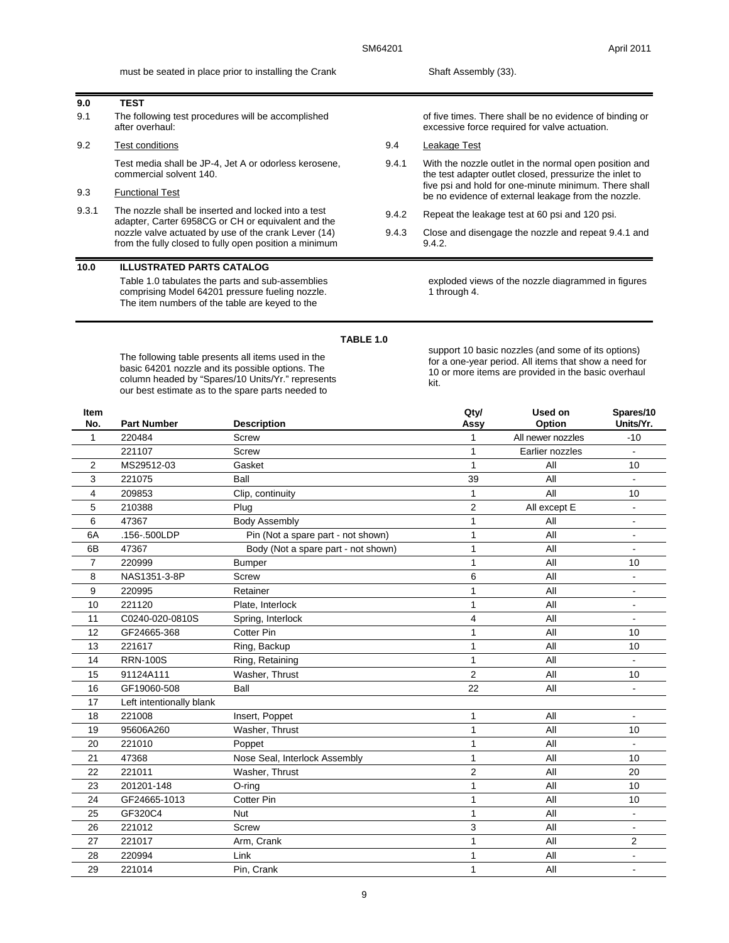must be seated in place prior to installing the Crank Shaft Assembly (33).

Test media shall be JP-4, Jet A or odorless kerosene,

adapter, Carter 6958CG or CH or equivalent and the nozzle valve actuated by use of the crank Lever (14) from the fully closed to fully open position a minimum

Table 1.0 tabulates the parts and sub-assemblies comprising Model 64201 pressure fueling nozzle. The item numbers of the table are keyed to the

9.1 The following test procedures will be accomplished

9.3.1 The nozzle shall be inserted and locked into a test

**9.0 TEST**

after overhaul:

commercial solvent 140.

**10.0 ILLUSTRATED PARTS CATALOG**

9.2 Test conditions

9.3 Functional Test

of five times. There shall be no evidence of binding or excessive force required for valve actuation.

- 9.4 Leakage Test
- 9.4.1 With the nozzle outlet in the normal open position and the test adapter outlet closed, pressurize the inlet to five psi and hold for one-minute minimum. There shall be no evidence of external leakage from the nozzle.
- 9.4.2 Repeat the leakage test at 60 psi and 120 psi.
- 9.4.3 Close and disengage the nozzle and repeat 9.4.1 and 9.4.2.

exploded views of the nozzle diagrammed in figures 1 through 4.

#### **TABLE 1.0**

The following table presents all items used in the basic 64201 nozzle and its possible options. The column headed by "Spares/10 Units/Yr." represents our best estimate as to the spare parts needed to

support 10 basic nozzles (and some of its options) for a one-year period. All items that show a need for 10 or more items are provided in the basic overhaul kit.

| 220484<br><b>Screw</b><br>All newer nozzles<br>$-10$<br>1<br>221107<br>$\mathbf{1}$<br>Earlier nozzles<br><b>Screw</b><br>$\overline{2}$<br>MS29512-03<br>Gasket<br>$\mathbf{1}$<br>All<br>10<br>Ball<br>3<br>221075<br>39<br>All<br>$\blacksquare$<br>209853<br>Clip, continuity<br>All<br>$\mathbf{1}$<br>10<br>4<br>210388<br>$\overline{2}$<br>5<br>Plug<br>All except E<br>$\overline{\phantom{a}}$<br>6<br>$\mathbf{1}$<br>47367<br><b>Body Assembly</b><br>All<br>$\blacksquare$<br>6A<br>.156-.500LDP<br>$\mathbf{1}$<br>Pin (Not a spare part - not shown)<br>All<br>$\qquad \qquad \blacksquare$<br>47367<br>$\mathbf{1}$<br>All<br>6B<br>Body (Not a spare part - not shown)<br>$\blacksquare$<br>$\overline{7}$<br>220999<br><b>Bumper</b><br>$\mathbf{1}$<br>All<br>10<br>6<br>All<br>8<br>NAS1351-3-8P<br><b>Screw</b><br>$\overline{a}$<br>9<br>220995<br>$\mathbf{1}$<br>All<br>Retainer<br>$\blacksquare$<br>$\mathbf{1}$<br>221120<br>All<br>10<br>Plate, Interlock<br>-<br>C0240-020-0810S<br>Spring, Interlock<br>$\overline{4}$<br>All<br>11<br>$\blacksquare$<br>GF24665-368<br><b>Cotter Pin</b><br>$\mathbf{1}$<br>All<br>12<br>10<br>$\mathbf{1}$<br>13<br>221617<br>Ring, Backup<br>All<br>10<br><b>RRN-100S</b><br>$\mathbf{1}$<br>All<br>14<br>Ring, Retaining<br>$\overline{2}$<br>Washer, Thrust<br>15<br>91124A111<br>All<br>10<br>GF19060-508<br>Ball<br>22<br>16<br>All<br>$\blacksquare$<br>17<br>Left intentionally blank<br>221008<br>18<br>Insert, Poppet<br>$\mathbf{1}$<br>All<br>95606A260<br>$\mathbf{1}$<br>19<br>Washer, Thrust<br>All<br>10<br>$\mathbf{1}$<br>20<br>221010<br>Poppet<br>All<br>$\overline{a}$<br>47368<br>Nose Seal, Interlock Assembly<br>21<br>All<br>1<br>10<br>221011<br>Washer, Thrust<br>$\boldsymbol{2}$<br>22<br>All<br>20<br>201201-148<br>$\mathbf{1}$<br>All<br>23<br>O-ring<br>10<br>$\mathbf{1}$<br>24<br>GF24665-1013<br><b>Cotter Pin</b><br>All<br>10<br>GF320C4<br>$\mathbf{1}$<br>25<br><b>Nut</b><br>All<br>$\overline{\phantom{a}}$<br>3<br>26<br>221012<br><b>Screw</b><br>All<br>$\overline{a}$<br>221017<br>27<br>Arm, Crank<br>$\mathbf{1}$<br>All<br>2<br>220994<br>Link<br>$\mathbf{1}$<br>All<br>28<br>29<br>221014<br>Pin, Crank<br>$\mathbf{1}$<br>All<br>$\overline{\phantom{a}}$ | Item<br>No. | <b>Part Number</b> | <b>Description</b> | Qty/<br>Assy | Used on<br>Option | Spares/10<br>Units/Yr. |
|------------------------------------------------------------------------------------------------------------------------------------------------------------------------------------------------------------------------------------------------------------------------------------------------------------------------------------------------------------------------------------------------------------------------------------------------------------------------------------------------------------------------------------------------------------------------------------------------------------------------------------------------------------------------------------------------------------------------------------------------------------------------------------------------------------------------------------------------------------------------------------------------------------------------------------------------------------------------------------------------------------------------------------------------------------------------------------------------------------------------------------------------------------------------------------------------------------------------------------------------------------------------------------------------------------------------------------------------------------------------------------------------------------------------------------------------------------------------------------------------------------------------------------------------------------------------------------------------------------------------------------------------------------------------------------------------------------------------------------------------------------------------------------------------------------------------------------------------------------------------------------------------------------------------------------------------------------------------------------------------------------------------------------------------------------------------------------------------------------------------------------------------------------------------------------------------------------------------------------------------------------------------------|-------------|--------------------|--------------------|--------------|-------------------|------------------------|
|                                                                                                                                                                                                                                                                                                                                                                                                                                                                                                                                                                                                                                                                                                                                                                                                                                                                                                                                                                                                                                                                                                                                                                                                                                                                                                                                                                                                                                                                                                                                                                                                                                                                                                                                                                                                                                                                                                                                                                                                                                                                                                                                                                                                                                                                              |             |                    |                    |              |                   |                        |
|                                                                                                                                                                                                                                                                                                                                                                                                                                                                                                                                                                                                                                                                                                                                                                                                                                                                                                                                                                                                                                                                                                                                                                                                                                                                                                                                                                                                                                                                                                                                                                                                                                                                                                                                                                                                                                                                                                                                                                                                                                                                                                                                                                                                                                                                              |             |                    |                    |              |                   |                        |
|                                                                                                                                                                                                                                                                                                                                                                                                                                                                                                                                                                                                                                                                                                                                                                                                                                                                                                                                                                                                                                                                                                                                                                                                                                                                                                                                                                                                                                                                                                                                                                                                                                                                                                                                                                                                                                                                                                                                                                                                                                                                                                                                                                                                                                                                              |             |                    |                    |              |                   |                        |
|                                                                                                                                                                                                                                                                                                                                                                                                                                                                                                                                                                                                                                                                                                                                                                                                                                                                                                                                                                                                                                                                                                                                                                                                                                                                                                                                                                                                                                                                                                                                                                                                                                                                                                                                                                                                                                                                                                                                                                                                                                                                                                                                                                                                                                                                              |             |                    |                    |              |                   |                        |
|                                                                                                                                                                                                                                                                                                                                                                                                                                                                                                                                                                                                                                                                                                                                                                                                                                                                                                                                                                                                                                                                                                                                                                                                                                                                                                                                                                                                                                                                                                                                                                                                                                                                                                                                                                                                                                                                                                                                                                                                                                                                                                                                                                                                                                                                              |             |                    |                    |              |                   |                        |
|                                                                                                                                                                                                                                                                                                                                                                                                                                                                                                                                                                                                                                                                                                                                                                                                                                                                                                                                                                                                                                                                                                                                                                                                                                                                                                                                                                                                                                                                                                                                                                                                                                                                                                                                                                                                                                                                                                                                                                                                                                                                                                                                                                                                                                                                              |             |                    |                    |              |                   |                        |
|                                                                                                                                                                                                                                                                                                                                                                                                                                                                                                                                                                                                                                                                                                                                                                                                                                                                                                                                                                                                                                                                                                                                                                                                                                                                                                                                                                                                                                                                                                                                                                                                                                                                                                                                                                                                                                                                                                                                                                                                                                                                                                                                                                                                                                                                              |             |                    |                    |              |                   |                        |
|                                                                                                                                                                                                                                                                                                                                                                                                                                                                                                                                                                                                                                                                                                                                                                                                                                                                                                                                                                                                                                                                                                                                                                                                                                                                                                                                                                                                                                                                                                                                                                                                                                                                                                                                                                                                                                                                                                                                                                                                                                                                                                                                                                                                                                                                              |             |                    |                    |              |                   |                        |
|                                                                                                                                                                                                                                                                                                                                                                                                                                                                                                                                                                                                                                                                                                                                                                                                                                                                                                                                                                                                                                                                                                                                                                                                                                                                                                                                                                                                                                                                                                                                                                                                                                                                                                                                                                                                                                                                                                                                                                                                                                                                                                                                                                                                                                                                              |             |                    |                    |              |                   |                        |
|                                                                                                                                                                                                                                                                                                                                                                                                                                                                                                                                                                                                                                                                                                                                                                                                                                                                                                                                                                                                                                                                                                                                                                                                                                                                                                                                                                                                                                                                                                                                                                                                                                                                                                                                                                                                                                                                                                                                                                                                                                                                                                                                                                                                                                                                              |             |                    |                    |              |                   |                        |
|                                                                                                                                                                                                                                                                                                                                                                                                                                                                                                                                                                                                                                                                                                                                                                                                                                                                                                                                                                                                                                                                                                                                                                                                                                                                                                                                                                                                                                                                                                                                                                                                                                                                                                                                                                                                                                                                                                                                                                                                                                                                                                                                                                                                                                                                              |             |                    |                    |              |                   |                        |
|                                                                                                                                                                                                                                                                                                                                                                                                                                                                                                                                                                                                                                                                                                                                                                                                                                                                                                                                                                                                                                                                                                                                                                                                                                                                                                                                                                                                                                                                                                                                                                                                                                                                                                                                                                                                                                                                                                                                                                                                                                                                                                                                                                                                                                                                              |             |                    |                    |              |                   |                        |
|                                                                                                                                                                                                                                                                                                                                                                                                                                                                                                                                                                                                                                                                                                                                                                                                                                                                                                                                                                                                                                                                                                                                                                                                                                                                                                                                                                                                                                                                                                                                                                                                                                                                                                                                                                                                                                                                                                                                                                                                                                                                                                                                                                                                                                                                              |             |                    |                    |              |                   |                        |
|                                                                                                                                                                                                                                                                                                                                                                                                                                                                                                                                                                                                                                                                                                                                                                                                                                                                                                                                                                                                                                                                                                                                                                                                                                                                                                                                                                                                                                                                                                                                                                                                                                                                                                                                                                                                                                                                                                                                                                                                                                                                                                                                                                                                                                                                              |             |                    |                    |              |                   |                        |
|                                                                                                                                                                                                                                                                                                                                                                                                                                                                                                                                                                                                                                                                                                                                                                                                                                                                                                                                                                                                                                                                                                                                                                                                                                                                                                                                                                                                                                                                                                                                                                                                                                                                                                                                                                                                                                                                                                                                                                                                                                                                                                                                                                                                                                                                              |             |                    |                    |              |                   |                        |
|                                                                                                                                                                                                                                                                                                                                                                                                                                                                                                                                                                                                                                                                                                                                                                                                                                                                                                                                                                                                                                                                                                                                                                                                                                                                                                                                                                                                                                                                                                                                                                                                                                                                                                                                                                                                                                                                                                                                                                                                                                                                                                                                                                                                                                                                              |             |                    |                    |              |                   |                        |
|                                                                                                                                                                                                                                                                                                                                                                                                                                                                                                                                                                                                                                                                                                                                                                                                                                                                                                                                                                                                                                                                                                                                                                                                                                                                                                                                                                                                                                                                                                                                                                                                                                                                                                                                                                                                                                                                                                                                                                                                                                                                                                                                                                                                                                                                              |             |                    |                    |              |                   |                        |
|                                                                                                                                                                                                                                                                                                                                                                                                                                                                                                                                                                                                                                                                                                                                                                                                                                                                                                                                                                                                                                                                                                                                                                                                                                                                                                                                                                                                                                                                                                                                                                                                                                                                                                                                                                                                                                                                                                                                                                                                                                                                                                                                                                                                                                                                              |             |                    |                    |              |                   |                        |
|                                                                                                                                                                                                                                                                                                                                                                                                                                                                                                                                                                                                                                                                                                                                                                                                                                                                                                                                                                                                                                                                                                                                                                                                                                                                                                                                                                                                                                                                                                                                                                                                                                                                                                                                                                                                                                                                                                                                                                                                                                                                                                                                                                                                                                                                              |             |                    |                    |              |                   |                        |
|                                                                                                                                                                                                                                                                                                                                                                                                                                                                                                                                                                                                                                                                                                                                                                                                                                                                                                                                                                                                                                                                                                                                                                                                                                                                                                                                                                                                                                                                                                                                                                                                                                                                                                                                                                                                                                                                                                                                                                                                                                                                                                                                                                                                                                                                              |             |                    |                    |              |                   |                        |
|                                                                                                                                                                                                                                                                                                                                                                                                                                                                                                                                                                                                                                                                                                                                                                                                                                                                                                                                                                                                                                                                                                                                                                                                                                                                                                                                                                                                                                                                                                                                                                                                                                                                                                                                                                                                                                                                                                                                                                                                                                                                                                                                                                                                                                                                              |             |                    |                    |              |                   |                        |
|                                                                                                                                                                                                                                                                                                                                                                                                                                                                                                                                                                                                                                                                                                                                                                                                                                                                                                                                                                                                                                                                                                                                                                                                                                                                                                                                                                                                                                                                                                                                                                                                                                                                                                                                                                                                                                                                                                                                                                                                                                                                                                                                                                                                                                                                              |             |                    |                    |              |                   |                        |
|                                                                                                                                                                                                                                                                                                                                                                                                                                                                                                                                                                                                                                                                                                                                                                                                                                                                                                                                                                                                                                                                                                                                                                                                                                                                                                                                                                                                                                                                                                                                                                                                                                                                                                                                                                                                                                                                                                                                                                                                                                                                                                                                                                                                                                                                              |             |                    |                    |              |                   |                        |
|                                                                                                                                                                                                                                                                                                                                                                                                                                                                                                                                                                                                                                                                                                                                                                                                                                                                                                                                                                                                                                                                                                                                                                                                                                                                                                                                                                                                                                                                                                                                                                                                                                                                                                                                                                                                                                                                                                                                                                                                                                                                                                                                                                                                                                                                              |             |                    |                    |              |                   |                        |
|                                                                                                                                                                                                                                                                                                                                                                                                                                                                                                                                                                                                                                                                                                                                                                                                                                                                                                                                                                                                                                                                                                                                                                                                                                                                                                                                                                                                                                                                                                                                                                                                                                                                                                                                                                                                                                                                                                                                                                                                                                                                                                                                                                                                                                                                              |             |                    |                    |              |                   |                        |
|                                                                                                                                                                                                                                                                                                                                                                                                                                                                                                                                                                                                                                                                                                                                                                                                                                                                                                                                                                                                                                                                                                                                                                                                                                                                                                                                                                                                                                                                                                                                                                                                                                                                                                                                                                                                                                                                                                                                                                                                                                                                                                                                                                                                                                                                              |             |                    |                    |              |                   |                        |
|                                                                                                                                                                                                                                                                                                                                                                                                                                                                                                                                                                                                                                                                                                                                                                                                                                                                                                                                                                                                                                                                                                                                                                                                                                                                                                                                                                                                                                                                                                                                                                                                                                                                                                                                                                                                                                                                                                                                                                                                                                                                                                                                                                                                                                                                              |             |                    |                    |              |                   |                        |
|                                                                                                                                                                                                                                                                                                                                                                                                                                                                                                                                                                                                                                                                                                                                                                                                                                                                                                                                                                                                                                                                                                                                                                                                                                                                                                                                                                                                                                                                                                                                                                                                                                                                                                                                                                                                                                                                                                                                                                                                                                                                                                                                                                                                                                                                              |             |                    |                    |              |                   |                        |
|                                                                                                                                                                                                                                                                                                                                                                                                                                                                                                                                                                                                                                                                                                                                                                                                                                                                                                                                                                                                                                                                                                                                                                                                                                                                                                                                                                                                                                                                                                                                                                                                                                                                                                                                                                                                                                                                                                                                                                                                                                                                                                                                                                                                                                                                              |             |                    |                    |              |                   |                        |
|                                                                                                                                                                                                                                                                                                                                                                                                                                                                                                                                                                                                                                                                                                                                                                                                                                                                                                                                                                                                                                                                                                                                                                                                                                                                                                                                                                                                                                                                                                                                                                                                                                                                                                                                                                                                                                                                                                                                                                                                                                                                                                                                                                                                                                                                              |             |                    |                    |              |                   |                        |
|                                                                                                                                                                                                                                                                                                                                                                                                                                                                                                                                                                                                                                                                                                                                                                                                                                                                                                                                                                                                                                                                                                                                                                                                                                                                                                                                                                                                                                                                                                                                                                                                                                                                                                                                                                                                                                                                                                                                                                                                                                                                                                                                                                                                                                                                              |             |                    |                    |              |                   |                        |
|                                                                                                                                                                                                                                                                                                                                                                                                                                                                                                                                                                                                                                                                                                                                                                                                                                                                                                                                                                                                                                                                                                                                                                                                                                                                                                                                                                                                                                                                                                                                                                                                                                                                                                                                                                                                                                                                                                                                                                                                                                                                                                                                                                                                                                                                              |             |                    |                    |              |                   |                        |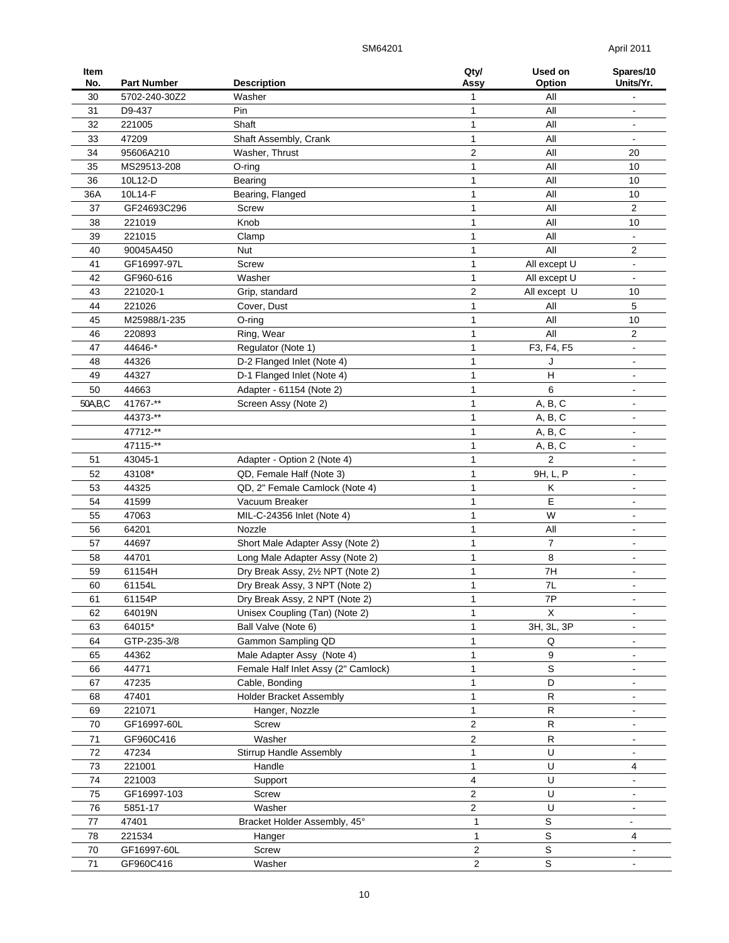SM64201 April 2011

| Item<br>No. | <b>Part Number</b> | <b>Description</b>                                                | Qty/<br>Assy            | Used on<br>Option          | Spares/10<br>Units/Yr.       |
|-------------|--------------------|-------------------------------------------------------------------|-------------------------|----------------------------|------------------------------|
| 30          | 5702-240-30Z2      | Washer                                                            | 1                       | All                        |                              |
| 31          | D9-437             | Pin                                                               | 1                       | All                        |                              |
| 32          | 221005             | Shaft                                                             | 1                       | All                        | $\qquad \qquad \blacksquare$ |
| 33          | 47209              | Shaft Assembly, Crank                                             | 1                       | All                        |                              |
| 34          | 95606A210          | Washer, Thrust                                                    | 2                       | All                        | 20                           |
| 35          | MS29513-208        | $O$ -ring                                                         | 1                       | All                        | 10                           |
| 36          | 10L12-D            | Bearing                                                           | 1                       | All                        | 10                           |
| 36A         | 10L14-F            | Bearing, Flanged                                                  | 1                       | All                        | 10                           |
| 37          | GF24693C296        | Screw                                                             | 1                       | All                        | 2                            |
| 38          | 221019             | Knob                                                              | 1                       | All                        | 10                           |
| 39          | 221015             | Clamp                                                             | 1                       | All                        |                              |
| 40          | 90045A450          | Nut                                                               | 1                       | All                        | 2                            |
| 41          | GF16997-97L        | Screw                                                             | $\mathbf{1}$            | All except U               |                              |
| 42          | GF960-616          | Washer                                                            | 1                       | All except U               |                              |
| 43          | 221020-1           | Grip, standard                                                    | 2                       | All except U               | 10                           |
| 44          | 221026             | Cover, Dust                                                       | 1                       | All                        | 5                            |
| 45          | M25988/1-235       | O-ring                                                            | 1                       | All                        | 10                           |
| 46          | 220893             | Ring, Wear                                                        | 1                       | All                        | 2                            |
| 47          | 44646-*            | Regulator (Note 1)                                                | 1                       | F3, F4, F5                 | $\blacksquare$               |
| 48          | 44326              | D-2 Flanged Inlet (Note 4)                                        | 1                       | J                          | $\blacksquare$               |
| 49          | 44327              | D-1 Flanged Inlet (Note 4)                                        | 1                       | H                          | $\blacksquare$               |
| 50          | 44663              | Adapter - 61154 (Note 2)                                          | 1                       | 6                          | $\blacksquare$               |
| 50A, B, C   | 41767-**           | Screen Assy (Note 2)                                              | 1                       | A, B, C                    | $\blacksquare$               |
|             | 44373-**           |                                                                   | 1                       | A, B, C                    | $\blacksquare$               |
|             | 47712-**           |                                                                   | 1                       | A, B, C                    | $\blacksquare$               |
|             | 47115-**           |                                                                   | 1                       | A, B, C                    | $\blacksquare$               |
| 51          | 43045-1            | Adapter - Option 2 (Note 4)                                       | 1                       | 2                          | $\blacksquare$               |
| 52          | 43108*             | QD, Female Half (Note 3)                                          | 1                       | 9H, L, P                   | $\blacksquare$               |
| 53          | 44325              | QD, 2" Female Camlock (Note 4)                                    | 1                       | Κ                          | $\blacksquare$               |
| 54          | 41599              | Vacuum Breaker                                                    | 1                       | E                          | $\blacksquare$               |
| 55          | 47063              | MIL-C-24356 Inlet (Note 4)                                        | 1                       | W                          |                              |
| 56          | 64201              | Nozzle                                                            | 1                       | All                        | $\blacksquare$               |
| 57          | 44697              | Short Male Adapter Assy (Note 2)                                  | 1                       | $\overline{7}$             |                              |
| 58          | 44701              | Long Male Adapter Assy (Note 2)                                   | 1                       | 8                          |                              |
| 59          | 61154H             | Dry Break Assy, 21/2 NPT (Note 2)                                 | $\mathbf{1}$            | 7H                         |                              |
| 60          | 61154L             | Dry Break Assy, 3 NPT (Note 2)                                    | 1                       | 7L                         | $\blacksquare$               |
| 61          | 61154P             | Dry Break Assy, 2 NPT (Note 2)                                    | 1                       | 7P                         |                              |
| 62          | 64019N             | Unisex Coupling (Tan) (Note 2)                                    | 1                       | X                          | $\blacksquare$               |
| 63          | 64015*             | Ball Valve (Note 6)<br>Gammon Sampling QD                         | 1                       | 3H, 3L, 3P                 |                              |
| 64          | GTP-235-3/8        |                                                                   | $\mathbf{1}$            | Q                          |                              |
| 65          | 44362<br>44771     | Male Adapter Assy (Note 4)<br>Female Half Inlet Assy (2" Camlock) | 1<br>1                  | 9<br>S                     |                              |
| 66<br>67    | 47235              | Cable, Bonding                                                    | 1                       | D                          |                              |
|             | 47401              | <b>Holder Bracket Assembly</b>                                    | 1                       | R                          |                              |
| 68<br>69    | 221071             | Hanger, Nozzle                                                    | 1                       | $\mathsf R$                |                              |
| 70          | GF16997-60L        | Screw                                                             | $\overline{c}$          | $\mathsf R$                | $\blacksquare$               |
|             |                    |                                                                   |                         |                            |                              |
| 71          | GF960C416          | Washer                                                            | $\overline{c}$          | ${\sf R}$<br>U             | $\overline{\phantom{a}}$     |
| 72          | 47234              | Stirrup Handle Assembly                                           | 1                       | U                          |                              |
| 73<br>74    | 221001             | Handle                                                            | 1                       | U                          | 4                            |
|             | 221003             | Support                                                           | 4<br>2                  | U                          |                              |
| 75          | GF16997-103        | Screw<br>Washer                                                   | $\overline{2}$          | U                          |                              |
| 76          | 5851-17            |                                                                   |                         |                            |                              |
| 77          | 47401              | Bracket Holder Assembly, 45°                                      | $\mathbf{1}$            | S                          |                              |
| 78          | 221534             | Hanger                                                            | $\mathbf{1}$            | $\mathsf S$<br>$\mathsf S$ | 4                            |
| 70          | GF16997-60L        | Screw                                                             | $\overline{c}$          |                            |                              |
| 71          | GF960C416          | Washer                                                            | $\overline{\mathbf{c}}$ | $\mathbb S$                |                              |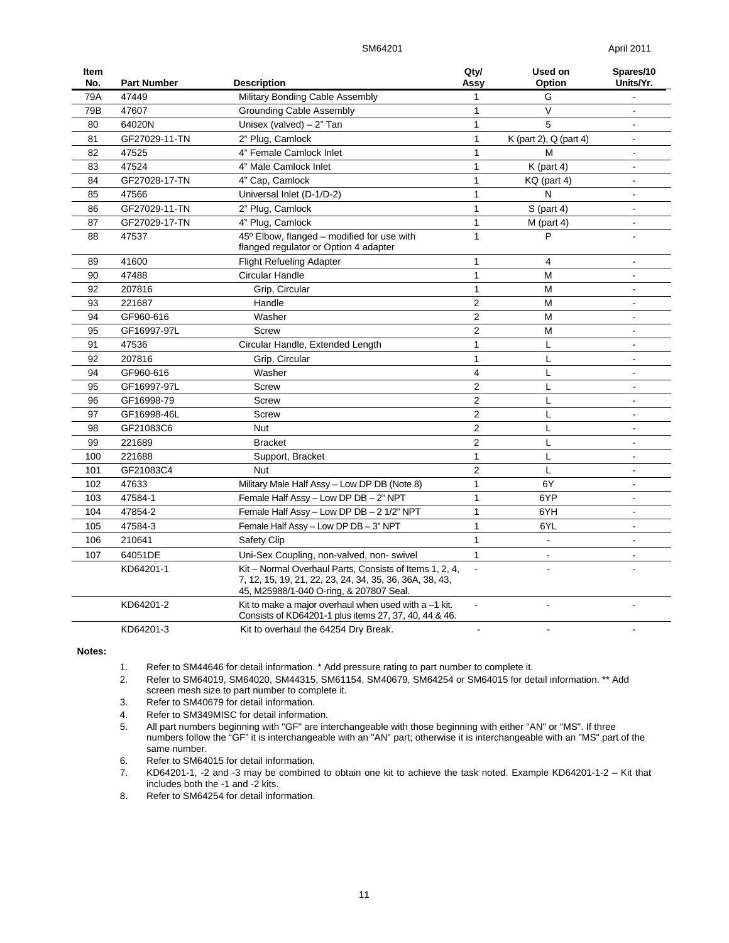SM64201 April 2011

| Item<br>No. | <b>Part Number</b> | <b>Description</b>                                                                                                                                            | Qty/<br>Assy   | Used on<br>Option      | Spares/10<br>Units/Yr.   |
|-------------|--------------------|---------------------------------------------------------------------------------------------------------------------------------------------------------------|----------------|------------------------|--------------------------|
| 79A         | 47449              | Military Bonding Cable Assembly                                                                                                                               | 1              | G                      |                          |
| 79B         | 47607              | <b>Grounding Cable Assembly</b>                                                                                                                               | 1              | $\vee$                 |                          |
| 80          | 64020N             | Unisex (valved) $-2$ " Tan                                                                                                                                    | $\mathbf{1}$   | 5                      |                          |
| 81          | GF27029-11-TN      | 2" Plug, Camlock                                                                                                                                              | $\mathbf{1}$   | K (part 2), Q (part 4) |                          |
| 82          | 47525              | 4" Female Camlock Inlet                                                                                                                                       | $\mathbf{1}$   | M                      |                          |
| 83          | 47524              | 4" Male Camlock Inlet                                                                                                                                         | $\mathbf{1}$   | $K$ (part 4)           | $\blacksquare$           |
| 84          | GF27028-17-TN      | 4" Cap, Camlock                                                                                                                                               | 1              | KQ (part 4)            | $\blacksquare$           |
| 85          | 47566              | Universal Inlet (D-1/D-2)                                                                                                                                     | 1              | N                      | $\overline{a}$           |
| 86          | GF27029-11-TN      | 2" Plug, Camlock                                                                                                                                              | $\mathbf{1}$   | $S$ (part 4)           | $\blacksquare$           |
| 87          | GF27029-17-TN      | 4" Plug, Camlock                                                                                                                                              | $\mathbf{1}$   | $M$ (part 4)           | $\blacksquare$           |
| 88          | 47537              | 45° Elbow, flanged - modified for use with<br>flanged regulator or Option 4 adapter                                                                           |                | P                      | ÷                        |
| 89          | 41600              | <b>Flight Refueling Adapter</b>                                                                                                                               | 1              | $\overline{4}$         |                          |
| 90          | 47488              | Circular Handle                                                                                                                                               | $\mathbf{1}$   | M                      | $\blacksquare$           |
| 92          | 207816             | Grip, Circular                                                                                                                                                | 1              | М                      | $\blacksquare$           |
| 93          | 221687             | Handle                                                                                                                                                        | $\overline{2}$ | M                      | $\blacksquare$           |
| 94          | GF960-616          | Washer                                                                                                                                                        | $\overline{2}$ | M                      | $\blacksquare$           |
| 95          | GF16997-97L        | <b>Screw</b>                                                                                                                                                  | $\overline{c}$ | M                      |                          |
| 91          | 47536              | Circular Handle, Extended Length                                                                                                                              | $\mathbf{1}$   | L                      | $\blacksquare$           |
| 92          | 207816             | Grip, Circular                                                                                                                                                | $\mathbf{1}$   | L                      | $\mathbf{r}$             |
| 94          | GF960-616          | Washer                                                                                                                                                        | 4              | L                      | $\overline{\phantom{a}}$ |
| 95          | GF16997-97L        | Screw                                                                                                                                                         | $\overline{2}$ | L                      |                          |
| 96          | GF16998-79         | Screw                                                                                                                                                         | $\overline{2}$ | L                      | ÷                        |
| 97          | GF16998-46L        | Screw                                                                                                                                                         | $\overline{2}$ | L                      |                          |
| 98          | GF21083C6          | <b>Nut</b>                                                                                                                                                    | $\overline{2}$ | L                      | $\mathbf{r}$             |
| 99          | 221689             | <b>Bracket</b>                                                                                                                                                | $\overline{2}$ | L                      | $\blacksquare$           |
| 100         | 221688             | Support, Bracket                                                                                                                                              | $\mathbf{1}$   | L                      | L.                       |
| 101         | GF21083C4          | Nut                                                                                                                                                           | $\overline{2}$ | L                      | $\blacksquare$           |
| 102         | 47633              | Military Male Half Assy - Low DP DB (Note 8)                                                                                                                  | $\mathbf{1}$   | 6Y                     |                          |
| 103         | 47584-1            | Female Half Assy - Low DP DB - 2" NPT                                                                                                                         | $\mathbf{1}$   | 6YP                    | $\blacksquare$           |
| 104         | 47854-2            | Female Half Assy - Low DP DB - 2 1/2" NPT                                                                                                                     | $\mathbf{1}$   | 6YH                    | $\blacksquare$           |
| 105         | 47584-3            | Female Half Assy - Low DP DB - 3" NPT                                                                                                                         | 1              | 6YL                    | $\blacksquare$           |
| 106         | 210641             | Safety Clip                                                                                                                                                   | $\mathbf{1}$   | $\mathbf{r}$           | $\blacksquare$           |
| 107         | 64051DE            | Uni-Sex Coupling, non-valved, non-swivel                                                                                                                      | $\mathbf{1}$   | $\sim$                 | ÷                        |
|             | KD64201-1          | Kit - Normal Overhaul Parts, Consists of Items 1, 2, 4,<br>7, 12, 15, 19, 21, 22, 23, 24, 34, 35, 36, 36A, 38, 43,<br>45, M25988/1-040 O-ring, & 207807 Seal. |                |                        |                          |
|             | KD64201-2          | Kit to make a major overhaul when used with $a - 1$ kit.<br>Consists of KD64201-1 plus items 27, 37, 40, 44 & 46.                                             | $\blacksquare$ | $\overline{a}$         |                          |
|             | KD64201-3          | Kit to overhaul the 64254 Dry Break.                                                                                                                          | $\blacksquare$ | $\overline{a}$         |                          |

**Notes:** 

- 1. Refer to SM44646 for detail information. \* Add pressure rating to part number to complete it.
- 2. Refer to SM64019, SM64020, SM44315, SM61154, SM40679, SM64254 or SM64015 for detail information. \*\* Add screen mesh size to part number to complete it.
- 3. Refer to SM40679 for detail information.
- 4. Refer to SM349MISC for detail information.
- 5. All part numbers beginning with "GF" are interchangeable with those beginning with either "AN" or "MS". If three numbers follow the "GF" it is interchangeable with an "AN" part; otherwise it is interchangeable with an "MS" part of the same number.
	- 6. Refer to SM64015 for detail information.
	- 7. KD64201-1, -2 and -3 may be combined to obtain one kit to achieve the task noted. Example KD64201-1-2 Kit that includes both the -1 and -2 kits.
	- 8. Refer to SM64254 for detail information.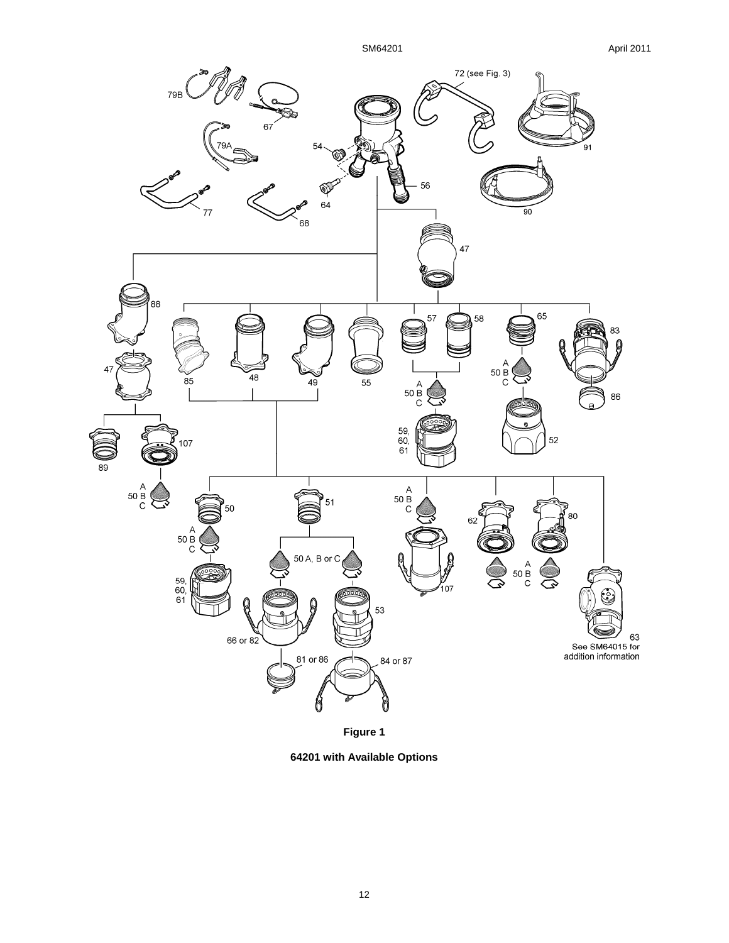

**64201 with Available Options**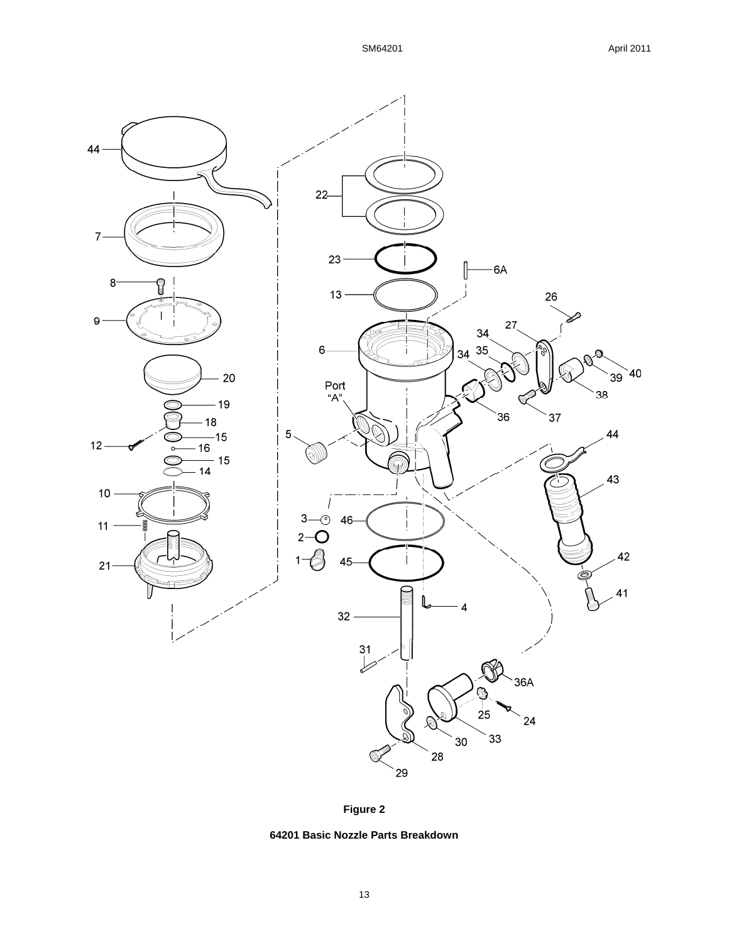



**64201 Basic Nozzle Parts Breakdown**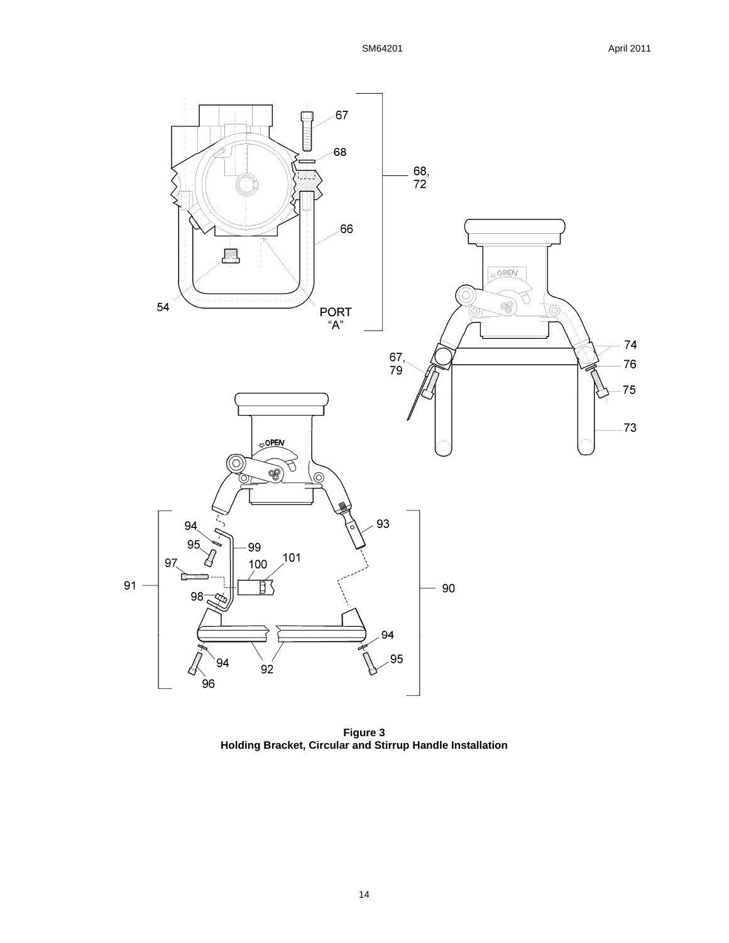

**Figure 3 Holding Bracket, Circular and Stirrup Handle Installation**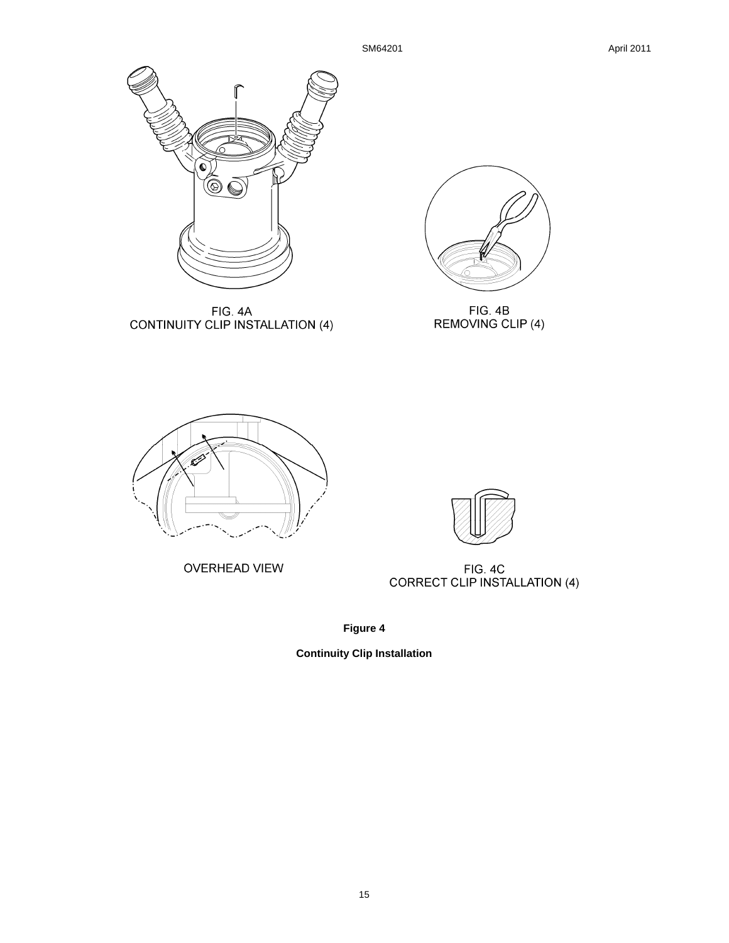

FIG. 4A<br>CONTINUITY CLIP INSTALLATION (4)



FIG. 4B<br>REMOVING CLIP (4)



OVERHEAD VIEW



FIG. 4C<br>CORRECT CLIP INSTALLATION (4)

**Figure 4** 

**Continuity Clip Installation**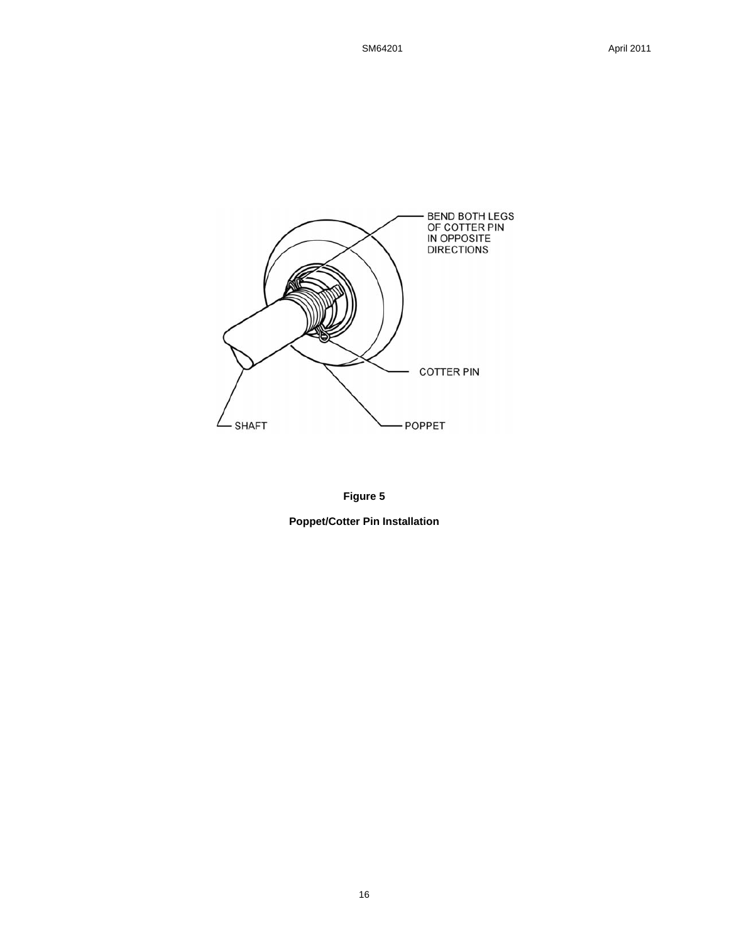



**Poppet/Cotter Pin Installation**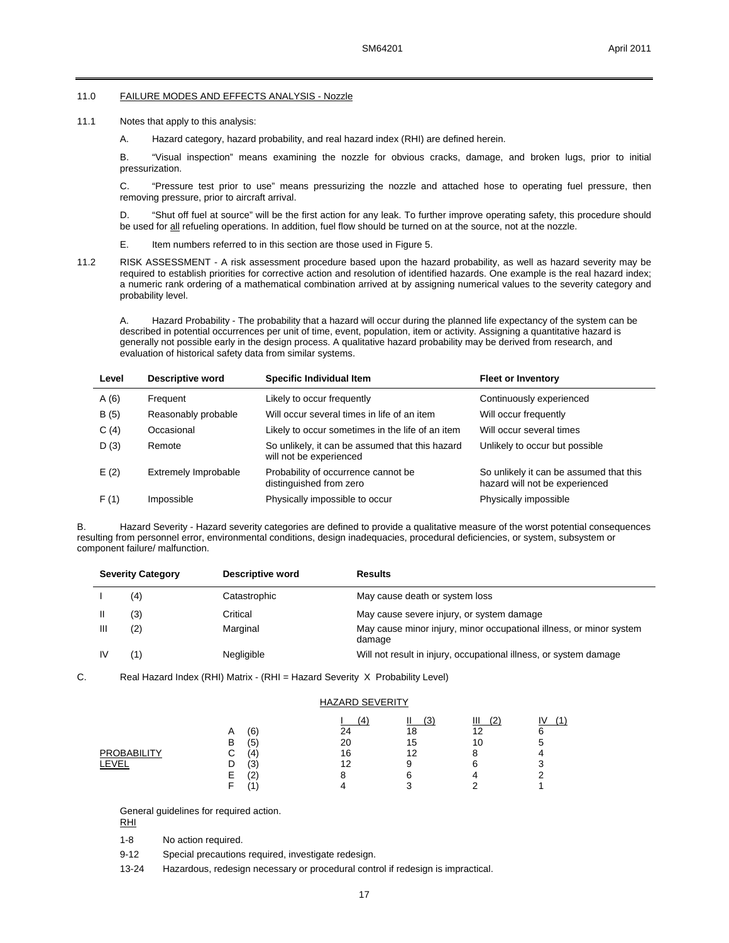#### 11.0 FAILURE MODES AND EFFECTS ANALYSIS - Nozzle

- 11.1 Notes that apply to this analysis:
	- A. Hazard category, hazard probability, and real hazard index (RHI) are defined herein.

B. "Visual inspection" means examining the nozzle for obvious cracks, damage, and broken lugs, prior to initial pressurization.

C. "Pressure test prior to use" means pressurizing the nozzle and attached hose to operating fuel pressure, then removing pressure, prior to aircraft arrival.

D. "Shut off fuel at source" will be the first action for any leak. To further improve operating safety, this procedure should be used for all refueling operations. In addition, fuel flow should be turned on at the source, not at the nozzle.

- E. Item numbers referred to in this section are those used in Figure 5.
- 11.2 RISK ASSESSMENT A risk assessment procedure based upon the hazard probability, as well as hazard severity may be required to establish priorities for corrective action and resolution of identified hazards. One example is the real hazard index; a numeric rank ordering of a mathematical combination arrived at by assigning numerical values to the severity category and probability level.

A. Hazard Probability - The probability that a hazard will occur during the planned life expectancy of the system can be described in potential occurrences per unit of time, event, population, item or activity. Assigning a quantitative hazard is generally not possible early in the design process. A qualitative hazard probability may be derived from research, and evaluation of historical safety data from similar systems.

| Level | Descriptive word            | Specific Individual Item                                                   | <b>Fleet or Inventory</b>                                                 |
|-------|-----------------------------|----------------------------------------------------------------------------|---------------------------------------------------------------------------|
| A(6)  | Frequent                    | Likely to occur frequently                                                 | Continuously experienced                                                  |
| B(5)  | Reasonably probable         | Will occur several times in life of an item                                | Will occur frequently                                                     |
| C(4)  | Occasional                  | Likely to occur sometimes in the life of an item                           | Will occur several times                                                  |
| D(3)  | Remote                      | So unlikely, it can be assumed that this hazard<br>will not be experienced | Unlikely to occur but possible                                            |
| E(2)  | <b>Extremely Improbable</b> | Probability of occurrence cannot be<br>distinguished from zero             | So unlikely it can be assumed that this<br>hazard will not be experienced |
| F(1)  | Impossible                  | Physically impossible to occur                                             | Physically impossible                                                     |

B. Hazard Severity - Hazard severity categories are defined to provide a qualitative measure of the worst potential consequences resulting from personnel error, environmental conditions, design inadequacies, procedural deficiencies, or system, subsystem or component failure/ malfunction.

|   | <b>Severity Category</b> | Descriptive word | <b>Results</b>                                                                |
|---|--------------------------|------------------|-------------------------------------------------------------------------------|
|   | (4)                      | Catastrophic     | May cause death or system loss                                                |
|   | (3)                      | Critical         | May cause severe injury, or system damage                                     |
| Ш | (2)                      | Marginal         | May cause minor injury, minor occupational illness, or minor system<br>damage |
|   | 1)                       | Negligible       | Will not result in injury, occupational illness, or system damage             |

C. Real Hazard Index (RHI) Matrix - (RHI = Hazard Severity X Probability Level)

### HAZARD SEVERITY  $\frac{1}{1}$  (4)  $\frac{11}{3}$   $\frac{11}{2}$  (2)  $\frac{11}{2}$  (1) A (6) 24 18 12 6 B (5) 20 15 10 5 PROBABILITY C (4) 16 12 8 4 LEVEL D (3) 12 9 6 3 E (2) 8 6 4 2 F (1) 4 3 2 1

General guidelines for required action.

RHI

1-8 No action required.

9-12 Special precautions required, investigate redesign.

13-24 Hazardous, redesign necessary or procedural control if redesign is impractical.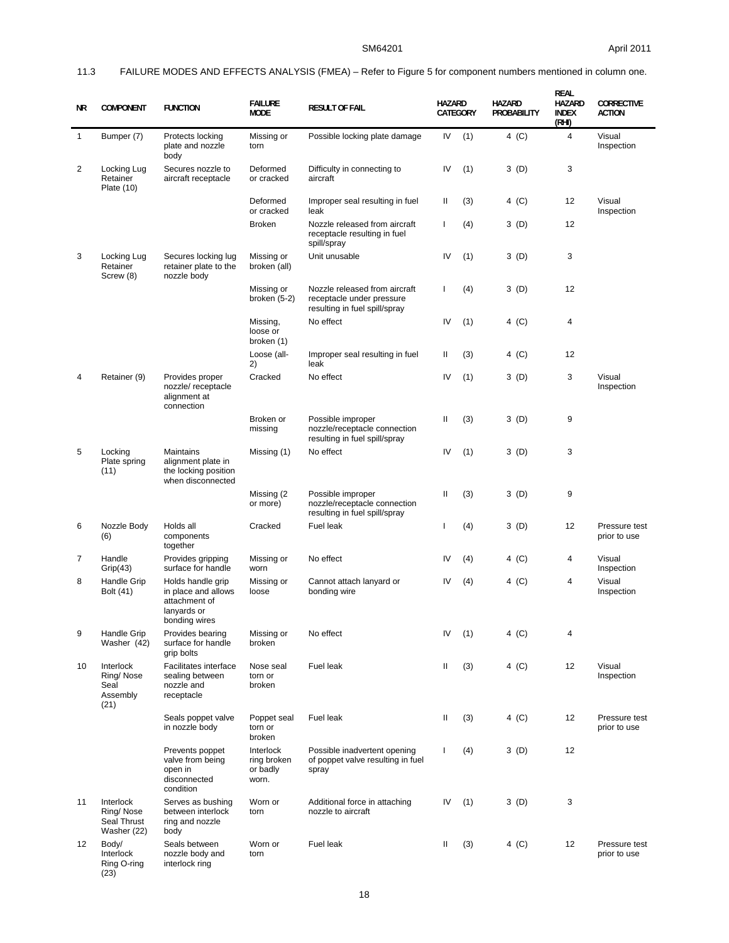## 11.3 FAILURE MODES AND EFFECTS ANALYSIS (FMEA) – Refer to Figure 5 for component numbers mentioned in column one.

| ΝR           | <b>COMPONENT</b>                                     | <b>FUNCTION</b>                                                                           | <b>FAILURE</b><br><b>MODE</b>                 | <b>RESULT OF FAIL</b>                                                                       | <b>HAZARD</b><br>CATEGORY |     | <b>HAZARD</b><br>PROBABILITY | <b>REAL</b><br>HAZARD<br><b>INDEX</b><br>(RHI) | <b>CORRECTIVE</b><br><b>ACTION</b> |
|--------------|------------------------------------------------------|-------------------------------------------------------------------------------------------|-----------------------------------------------|---------------------------------------------------------------------------------------------|---------------------------|-----|------------------------------|------------------------------------------------|------------------------------------|
| $\mathbf{1}$ | Bumper (7)                                           | Protects locking<br>plate and nozzle<br>body                                              | Missing or<br>torn                            | Possible locking plate damage                                                               | IV                        | (1) | 4 (C)                        | $\overline{4}$                                 | Visual<br>Inspection               |
| 2            | Locking Lug<br>Retainer<br><b>Plate (10)</b>         | Secures nozzle to<br>aircraft receptacle                                                  | Deformed<br>or cracked                        | Difficulty in connecting to<br>aircraft                                                     | IV                        | (1) | 3(D)                         | 3                                              |                                    |
|              |                                                      |                                                                                           | Deformed<br>or cracked                        | Improper seal resulting in fuel<br>leak                                                     | Ш                         | (3) | 4 (C)                        | 12                                             | Visual<br>Inspection               |
|              |                                                      |                                                                                           | <b>Broken</b>                                 | Nozzle released from aircraft<br>receptacle resulting in fuel<br>spill/spray                | T                         | (4) | 3(D)                         | 12                                             |                                    |
| 3            | Locking Lug<br>Retainer<br>Screw (8)                 | Secures locking lug<br>retainer plate to the<br>nozzle body                               | Missing or<br>broken (all)                    | Unit unusable                                                                               | IV                        | (1) | 3(D)                         | 3                                              |                                    |
|              |                                                      |                                                                                           | Missing or<br>broken $(5-2)$                  | Nozzle released from aircraft<br>receptacle under pressure<br>resulting in fuel spill/spray | ı                         | (4) | 3(D)                         | 12                                             |                                    |
|              |                                                      |                                                                                           | Missing,<br>loose or<br>broken (1)            | No effect                                                                                   | IV                        | (1) | 4 (C)                        | 4                                              |                                    |
|              |                                                      |                                                                                           | Loose (all-<br>2)                             | Improper seal resulting in fuel<br>leak                                                     | Ш                         | (3) | 4 (C)                        | 12                                             |                                    |
| 4            | Retainer (9)                                         | Provides proper<br>nozzle/receptacle<br>alignment at<br>connection                        | Cracked                                       | No effect                                                                                   | IV                        | (1) | 3(D)                         | 3                                              | Visual<br>Inspection               |
|              |                                                      |                                                                                           | Broken or<br>missing                          | Possible improper<br>nozzle/receptacle connection<br>resulting in fuel spill/spray          | Ш                         | (3) | 3(D)                         | 9                                              |                                    |
| 5            | Locking<br>Plate spring<br>(11)                      | Maintains<br>alignment plate in<br>the locking position<br>when disconnected              | Missing (1)                                   | No effect                                                                                   | IV                        | (1) | 3 (D)                        | 3                                              |                                    |
|              |                                                      |                                                                                           | Missing (2<br>or more)                        | Possible improper<br>nozzle/receptacle connection<br>resulting in fuel spill/spray          | Ш                         | (3) | 3(D)                         | 9                                              |                                    |
| 6            | Nozzle Body<br>(6)                                   | Holds all<br>components<br>together                                                       | Cracked                                       | Fuel leak                                                                                   | ı                         | (4) | 3(D)                         | 12                                             | Pressure test<br>prior to use      |
| 7            | Handle<br>Grip(43)                                   | Provides gripping<br>surface for handle                                                   | Missing or<br>worn                            | No effect                                                                                   | IV                        | (4) | 4 (C)                        | 4                                              | Visual<br>Inspection               |
| 8            | Handle Grip<br>Bolt (41)                             | Holds handle grip<br>in place and allows<br>attachment of<br>lanyards or<br>bonding wires | Missing or<br>loose                           | Cannot attach lanyard or<br>bonding wire                                                    | IV                        | (4) | 4 (C)                        | 4                                              | Visual<br>Inspection               |
| 9            | Handle Grip<br>Washer (42)                           | Provides bearing<br>surface for handle<br>grip bolts                                      | Missing or<br>broken                          | No effect                                                                                   | IV                        | (1) | 4 (C)                        | 4                                              |                                    |
| 10           | Interlock<br>Ring/Nose<br>Seal<br>Assembly<br>(21)   | Facilitates interface<br>sealing between<br>nozzle and<br>receptacle                      | Nose seal<br>torn or<br>broken                | Fuel leak                                                                                   | Ш                         | (3) | 4 (C)                        | 12                                             | Visual<br>Inspection               |
|              |                                                      | Seals poppet valve<br>in nozzle body                                                      | Poppet seal<br>torn or<br>broken              | Fuel leak                                                                                   | Ш                         | (3) | 4 (C)                        | 12                                             | Pressure test<br>prior to use      |
|              |                                                      | Prevents poppet<br>valve from being<br>open in<br>disconnected<br>condition               | Interlock<br>ring broken<br>or badly<br>worn. | Possible inadvertent opening<br>of poppet valve resulting in fuel<br>spray                  | T                         | (4) | 3(D)                         | 12                                             |                                    |
| 11           | Interlock<br>Ring/Nose<br>Seal Thrust<br>Washer (22) | Serves as bushing<br>between interlock<br>ring and nozzle<br>body                         | Worn or<br>torn                               | Additional force in attaching<br>nozzle to aircraft                                         | IV                        | (1) | 3 (D)                        | 3                                              |                                    |
| 12           | Body/<br>Interlock<br>Ring O-ring                    | Seals between<br>nozzle body and<br>interlock ring                                        | Worn or<br>torn                               | Fuel leak                                                                                   | Ш                         | (3) | 4 (C)                        | 12                                             | Pressure test<br>prior to use      |

(23)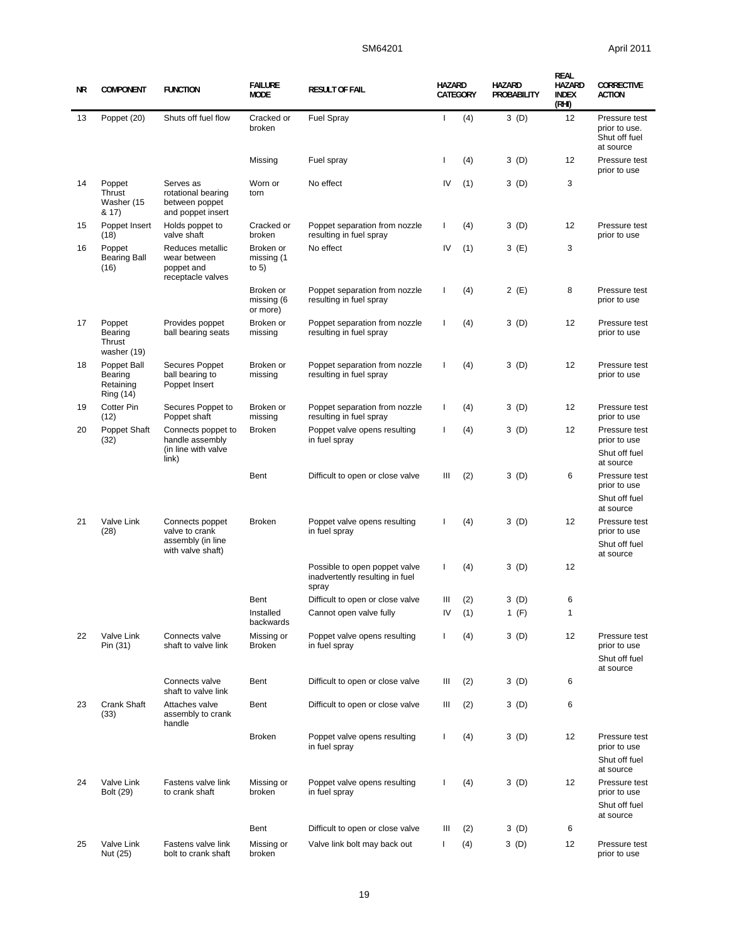## SM64201 **April 2011**

| ΝR | <b>COMPONENT</b>                                 | <b>FUNCTION</b>                                                             | <b>FAILURE</b><br><b>MODE</b>       | <b>RESULT OF FAIL</b>                                                     | <b>HAZARD</b>  | CATEGORY | <b>HAZARD</b><br>PROBABILITY | REAL<br>HAZARD<br><b>INDEX</b><br>(RHI) | <b>CORRECTIVE</b><br><b>ACTION</b>                                       |
|----|--------------------------------------------------|-----------------------------------------------------------------------------|-------------------------------------|---------------------------------------------------------------------------|----------------|----------|------------------------------|-----------------------------------------|--------------------------------------------------------------------------|
| 13 | Poppet (20)                                      | Shuts off fuel flow                                                         | Cracked or<br>broken                | <b>Fuel Spray</b>                                                         | ı              | (4)      | 3(D)                         | 12                                      | Pressure test<br>prior to use.<br>Shut off fuel<br>at source             |
|    |                                                  |                                                                             | Missing                             | Fuel spray                                                                | ı              | (4)      | 3(D)                         | 12                                      | Pressure test<br>prior to use                                            |
| 14 | Poppet<br>Thrust<br>Washer (15<br>& 17)          | Serves as<br>rotational bearing<br>between poppet<br>and poppet insert      | Worn or<br>torn                     | No effect                                                                 | IV             | (1)      | 3(D)                         | 3                                       |                                                                          |
| 15 | Poppet Insert<br>(18)                            | Holds poppet to<br>valve shaft                                              | Cracked or<br>broken                | Poppet separation from nozzle<br>resulting in fuel spray                  | L              | (4)      | 3(D)                         | 12                                      | Pressure test<br>prior to use                                            |
| 16 | Poppet<br><b>Bearing Ball</b><br>(16)            | Reduces metallic<br>wear between<br>poppet and<br>receptacle valves         | Broken or<br>missing (1<br>to $5)$  | No effect                                                                 | IV             | (1)      | 3 (E)                        | 3                                       |                                                                          |
|    |                                                  |                                                                             | Broken or<br>missing (6<br>or more) | Poppet separation from nozzle<br>resulting in fuel spray                  | ı              | (4)      | 2 (E)                        | 8                                       | Pressure test<br>prior to use                                            |
| 17 | Poppet<br>Bearing<br>Thrust<br>washer (19)       | Provides poppet<br>ball bearing seats                                       | Broken or<br>missing                | Poppet separation from nozzle<br>resulting in fuel spray                  | $\mathbf{I}$   | (4)      | 3 (D)                        | 12                                      | Pressure test<br>prior to use                                            |
| 18 | Poppet Ball<br>Bearing<br>Retaining<br>Ring (14) | Secures Poppet<br>ball bearing to<br>Poppet Insert                          | Broken or<br>missing                | Poppet separation from nozzle<br>resulting in fuel spray                  | $\mathbf{I}$   | (4)      | 3(D)                         | 12                                      | Pressure test<br>prior to use                                            |
| 19 | Cotter Pin<br>(12)                               | Secures Poppet to<br>Poppet shaft                                           | Broken or<br>missing                | Poppet separation from nozzle<br>resulting in fuel spray                  | $\mathsf{I}$   | (4)      | 3(D)                         | 12                                      | Pressure test<br>prior to use                                            |
| 20 | Poppet Shaft<br>(32)                             | Connects poppet to<br>handle assembly<br>(in line with valve                | <b>Broken</b>                       | Poppet valve opens resulting<br>in fuel spray                             | $\mathbf{I}$   | (4)      | 3 (D)                        | 12                                      | Pressure test<br>prior to use<br>Shut off fuel                           |
|    |                                                  | link)                                                                       | Bent                                | Difficult to open or close valve                                          | Ш              | (2)      | 3(D)                         | 6                                       | at source<br>Pressure test<br>prior to use<br>Shut off fuel<br>at source |
| 21 | Valve Link<br>(28)                               | Connects poppet<br>valve to crank<br>assembly (in line<br>with valve shaft) | <b>Broken</b>                       | Poppet valve opens resulting<br>in fuel spray                             | $\mathbf{I}$   | (4)      | 3(D)                         | 12                                      | Pressure test<br>prior to use<br>Shut off fuel<br>at source              |
|    |                                                  |                                                                             |                                     | Possible to open poppet valve<br>inadvertently resulting in fuel<br>spray | L              | (4)      | 3(D)                         | 12                                      |                                                                          |
|    |                                                  |                                                                             | Bent                                | Difficult to open or close valve                                          | Ш              | (2)      | 3(D)                         | 6                                       |                                                                          |
|    |                                                  |                                                                             | Installed<br>backwards              | Cannot open valve fully                                                   | IV             | (1)      | 1 $(F)$                      | $\mathbf{1}$                            |                                                                          |
| 22 | Valve Link<br>Pin (31)                           | Connects valve<br>shaft to valve link                                       | Missing or<br><b>Broken</b>         | Poppet valve opens resulting<br>in fuel spray                             | T              | (4)      | 3 (D)                        | 12                                      | Pressure test<br>prior to use<br>Shut off fuel                           |
|    |                                                  | Connects valve<br>shaft to valve link                                       | Bent                                | Difficult to open or close valve                                          | Ш              | (2)      | 3 (D)                        | 6                                       | at source                                                                |
| 23 | Crank Shaft<br>(33)                              | Attaches valve<br>assembly to crank<br>handle                               | Bent                                | Difficult to open or close valve                                          | Ш              | (2)      | 3 (D)                        | 6                                       |                                                                          |
|    |                                                  |                                                                             | <b>Broken</b>                       | Poppet valve opens resulting<br>in fuel spray                             | T              | (4)      | 3 (D)                        | 12                                      | Pressure test<br>prior to use<br>Shut off fuel<br>at source              |
| 24 | Valve Link<br>Bolt (29)                          | Fastens valve link<br>to crank shaft                                        | Missing or<br>broken                | Poppet valve opens resulting<br>in fuel spray                             | $\overline{1}$ | (4)      | 3 (D)                        | 12                                      | Pressure test<br>prior to use<br>Shut off fuel                           |
|    |                                                  |                                                                             | Bent                                | Difficult to open or close valve                                          | Ш              | (2)      | 3 (D)                        | 6                                       | at source                                                                |
| 25 | Valve Link<br>Nut (25)                           | Fastens valve link<br>bolt to crank shaft                                   | Missing or<br>broken                | Valve link bolt may back out                                              | $\mathbf{I}$   | (4)      | 3 (D)                        | 12                                      | Pressure test<br>prior to use                                            |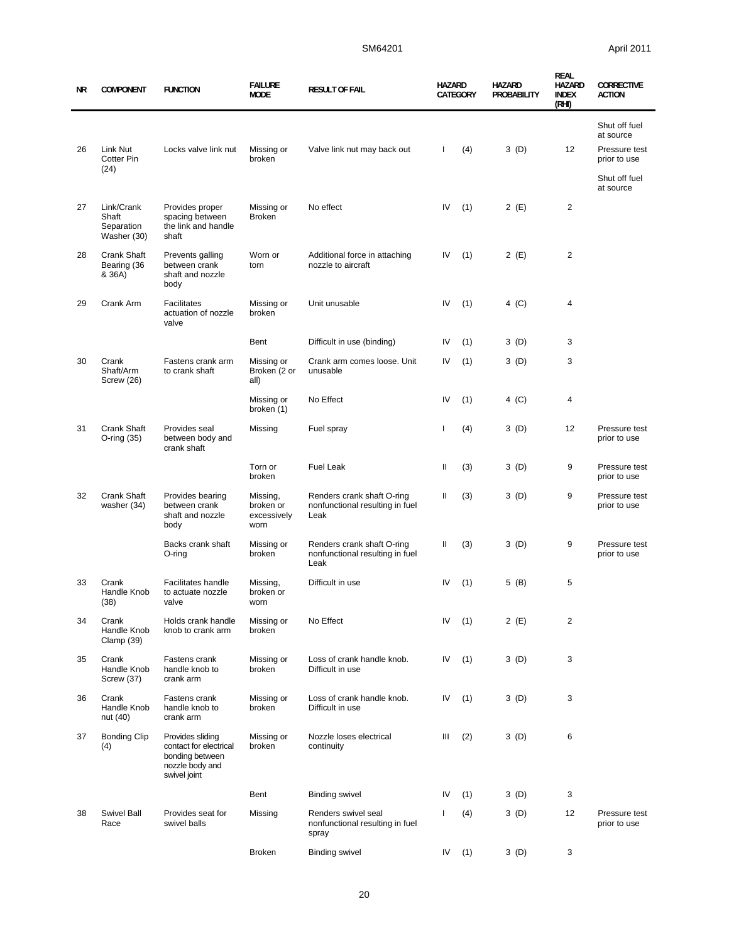| ΝR | <b>COMPONENT</b>                                 | <b>FUNCTION</b>                                                                                  | <b>FAILURE</b><br><b>MODE</b>                | <b>RESULT OF FAIL</b>                                                 | <b>HAZARD</b> | CATEGORY | <b>HAZARD</b><br>PROBABILITY | <b>REAL</b><br><b>HAZARD</b><br><b>INDEX</b><br>(RHI) | <b>CORRECTIVE</b><br><b>ACTION</b>          |
|----|--------------------------------------------------|--------------------------------------------------------------------------------------------------|----------------------------------------------|-----------------------------------------------------------------------|---------------|----------|------------------------------|-------------------------------------------------------|---------------------------------------------|
| 26 | Link Nut                                         | Locks valve link nut                                                                             | Missing or                                   | Valve link nut may back out                                           | $\mathbf{I}$  | (4)      | 3(D)                         | 12                                                    | Shut off fuel<br>at source<br>Pressure test |
|    | Cotter Pin<br>(24)                               |                                                                                                  | broken                                       |                                                                       |               |          |                              |                                                       | prior to use<br>Shut off fuel<br>at source  |
| 27 | Link/Crank<br>Shaft<br>Separation<br>Washer (30) | Provides proper<br>spacing between<br>the link and handle<br>shaft                               | Missing or<br><b>Broken</b>                  | No effect                                                             | IV            | (1)      | 2(E)                         | $\overline{2}$                                        |                                             |
| 28 | Crank Shaft<br>Bearing (36<br>& 36A)             | Prevents galling<br>between crank<br>shaft and nozzle<br>body                                    | Worn or<br>torn                              | Additional force in attaching<br>nozzle to aircraft                   | IV            | (1)      | 2(E)                         | $\overline{2}$                                        |                                             |
| 29 | Crank Arm                                        | <b>Facilitates</b><br>actuation of nozzle<br>valve                                               | Missing or<br>broken                         | Unit unusable                                                         | IV            | (1)      | 4 (C)                        | 4                                                     |                                             |
|    |                                                  |                                                                                                  | Bent                                         | Difficult in use (binding)                                            | IV            | (1)      | 3(D)                         | 3                                                     |                                             |
| 30 | Crank<br>Shaft/Arm<br>Screw (26)                 | Fastens crank arm<br>to crank shaft                                                              | Missing or<br>Broken (2 or<br>all)           | Crank arm comes loose. Unit<br>unusable                               | IV            | (1)      | 3(D)                         | 3                                                     |                                             |
|    |                                                  |                                                                                                  | Missing or<br>broken (1)                     | No Effect                                                             | IV            | (1)      | 4 (C)                        | 4                                                     |                                             |
| 31 | Crank Shaft<br>O-ring (35)                       | Provides seal<br>between body and<br>crank shaft                                                 | Missing                                      | Fuel spray                                                            | -1            | (4)      | 3(D)                         | 12                                                    | Pressure test<br>prior to use               |
|    |                                                  |                                                                                                  | Torn or<br>broken                            | <b>Fuel Leak</b>                                                      | Ш             | (3)      | 3(D)                         | 9                                                     | Pressure test<br>prior to use               |
| 32 | Crank Shaft<br>washer (34)                       | Provides bearing<br>between crank<br>shaft and nozzle<br>body                                    | Missing,<br>broken or<br>excessively<br>worn | Renders crank shaft O-ring<br>nonfunctional resulting in fuel<br>Leak | Ш             | (3)      | 3(D)                         | 9                                                     | Pressure test<br>prior to use               |
|    |                                                  | Backs crank shaft<br>O-ring                                                                      | Missing or<br>broken                         | Renders crank shaft O-ring<br>nonfunctional resulting in fuel<br>Leak | Ш             | (3)      | 3(D)                         | 9                                                     | Pressure test<br>prior to use               |
| 33 | Crank<br>Handle Knob<br>(38)                     | Facilitates handle<br>to actuate nozzle<br>valve                                                 | Missing,<br>broken or<br>worn                | Difficult in use                                                      | IV            | (1)      | 5 (B)                        | 5                                                     |                                             |
| 34 | Crank<br>Handle Knob<br>Clamp (39)               | Holds crank handle<br>knob to crank arm                                                          | Missing or<br>broken                         | No Effect                                                             | IV            | (1)      | 2 (E)                        | $\overline{2}$                                        |                                             |
| 35 | Crank<br>Handle Knob<br>Screw (37)               | Fastens crank<br>handle knob to<br>crank arm                                                     | Missing or<br>broken                         | Loss of crank handle knob.<br>Difficult in use                        | IV            | (1)      | 3(D)                         | 3                                                     |                                             |
| 36 | Crank<br>Handle Knob<br>nut (40)                 | Fastens crank<br>handle knob to<br>crank arm                                                     | Missing or<br>broken                         | Loss of crank handle knob.<br>Difficult in use                        | IV            | (1)      | 3(D)                         | 3                                                     |                                             |
| 37 | <b>Bonding Clip</b><br>(4)                       | Provides sliding<br>contact for electrical<br>bonding between<br>nozzle body and<br>swivel joint | Missing or<br>broken                         | Nozzle loses electrical<br>continuity                                 | Ш             | (2)      | 3(D)                         | 6                                                     |                                             |
|    |                                                  |                                                                                                  | Bent                                         | <b>Binding swivel</b>                                                 | IV            | (1)      | 3 (D)                        | 3                                                     |                                             |
| 38 | Swivel Ball<br>Race                              | Provides seat for<br>swivel balls                                                                | Missing                                      | Renders swivel seal<br>nonfunctional resulting in fuel<br>spray       | -1            | (4)      | 3 (D)                        | 12                                                    | Pressure test<br>prior to use               |
|    |                                                  |                                                                                                  | <b>Broken</b>                                | <b>Binding swivel</b>                                                 | IV            | (1)      | 3(D)                         | 3                                                     |                                             |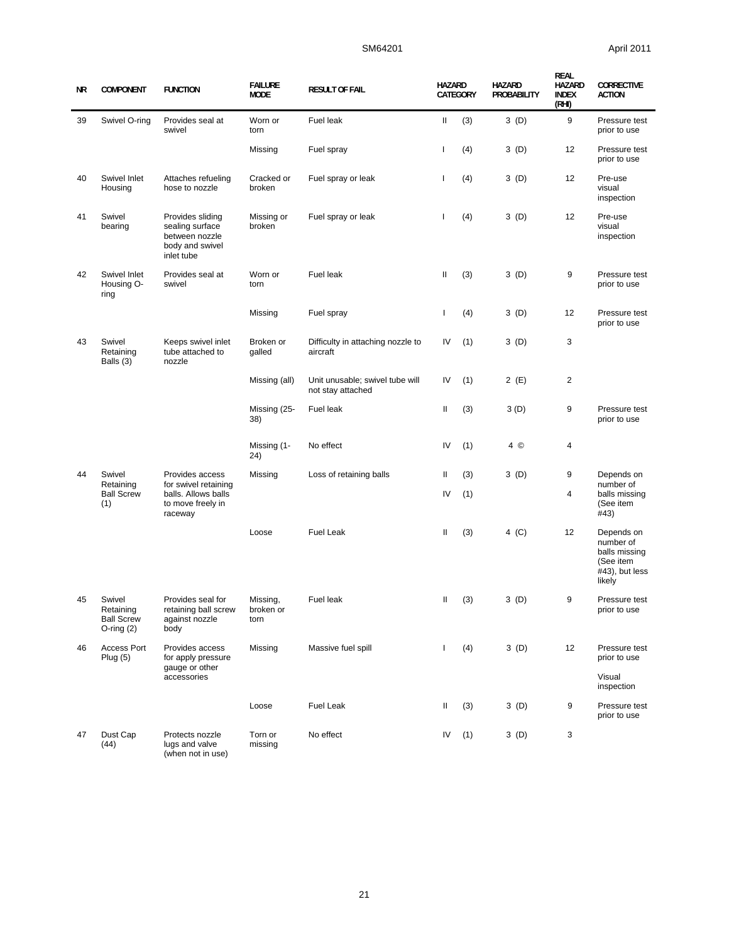| ΝR | <b>COMPONENT</b>                                            | <b>FUNCTION</b>                                                                        | <b>FAILURE</b><br><b>MODE</b> | <b>RESULT OF FAIL</b>                                | <b>HAZARD</b> | CATEGORY | <b>HAZARD</b><br>PROBABILITY | <b>REAL</b><br><b>HAZARD</b><br><b>INDEX</b><br>(RHI) | <b>CORRECTIVE</b><br><b>ACTION</b>                                                |
|----|-------------------------------------------------------------|----------------------------------------------------------------------------------------|-------------------------------|------------------------------------------------------|---------------|----------|------------------------------|-------------------------------------------------------|-----------------------------------------------------------------------------------|
| 39 | Swivel O-ring                                               | Provides seal at<br>swivel                                                             | Worn or<br>torn               | Fuel leak                                            | Ш             | (3)      | 3(D)                         | 9                                                     | Pressure test<br>prior to use                                                     |
|    |                                                             |                                                                                        | Missing                       | Fuel spray                                           | I.            | (4)      | 3(D)                         | 12                                                    | Pressure test<br>prior to use                                                     |
| 40 | Swivel Inlet<br>Housing                                     | Attaches refueling<br>hose to nozzle                                                   | Cracked or<br>broken          | Fuel spray or leak                                   | ı             | (4)      | 3(D)                         | 12                                                    | Pre-use<br>visual<br>inspection                                                   |
| 41 | Swivel<br>bearing                                           | Provides sliding<br>sealing surface<br>between nozzle<br>body and swivel<br>inlet tube | Missing or<br>broken          | Fuel spray or leak                                   | -1            | (4)      | 3(D)                         | 12                                                    | Pre-use<br>visual<br>inspection                                                   |
| 42 | Swivel Inlet<br>Housing O-<br>ring                          | Provides seal at<br>swivel                                                             | Worn or<br>torn               | Fuel leak                                            | Ш             | (3)      | 3(D)                         | 9                                                     | Pressure test<br>prior to use                                                     |
|    |                                                             |                                                                                        | Missing                       | Fuel spray                                           | I.            | (4)      | 3(D)                         | 12                                                    | Pressure test<br>prior to use                                                     |
| 43 | Swivel<br>Retaining<br>Balls (3)                            | Keeps swivel inlet<br>tube attached to<br>nozzle                                       | Broken or<br>galled           | Difficulty in attaching nozzle to<br>aircraft        | IV            | (1)      | 3(D)                         | 3                                                     |                                                                                   |
|    |                                                             |                                                                                        | Missing (all)                 | Unit unusable; swivel tube will<br>not stay attached | IV            | (1)      | 2(E)                         | $\overline{2}$                                        |                                                                                   |
|    |                                                             |                                                                                        | Missing (25-<br>38)           | Fuel leak                                            | Ш             | (3)      | 3(D)                         | 9                                                     | Pressure test<br>prior to use                                                     |
|    |                                                             |                                                                                        | Missing (1-<br>24)            | No effect                                            | IV            | (1)      | 4 ©                          | 4                                                     |                                                                                   |
| 44 | Swivel<br>Retaining                                         | Provides access<br>for swivel retaining                                                | Missing                       | Loss of retaining balls                              | Ш             | (3)      | 3(D)                         | 9                                                     | Depends on<br>number of                                                           |
|    | <b>Ball Screw</b><br>(1)                                    | balls. Allows balls<br>to move freely in<br>raceway                                    |                               |                                                      | IV            | (1)      |                              | 4                                                     | balls missing<br>(See item<br>#43)                                                |
|    |                                                             |                                                                                        | Loose                         | <b>Fuel Leak</b>                                     | Ш             | (3)      | $4$ (C)                      | 12                                                    | Depends on<br>number of<br>balls missing<br>(See item<br>#43), but less<br>likely |
| 45 | Swivel<br>Retaining<br><b>Ball Screw</b><br>$O$ -ring $(2)$ | Provides seal for<br>retaining ball screw<br>against nozzle<br>body                    | Missing,<br>broken or<br>torn | Fuel leak                                            | Ш             | (3)      | 3(D)                         | 9                                                     | Pressure test<br>prior to use                                                     |
| 46 | Access Port<br>Plug(5)                                      | Provides access<br>for apply pressure<br>gauge or other                                | Missing                       | Massive fuel spill                                   | T             | (4)      | 3(D)                         | 12                                                    | Pressure test<br>prior to use                                                     |
|    |                                                             | accessories                                                                            |                               |                                                      |               |          |                              |                                                       | Visual<br>inspection                                                              |
|    |                                                             |                                                                                        | Loose                         | Fuel Leak                                            | Ш             | (3)      | 3(D)                         | 9                                                     | Pressure test<br>prior to use                                                     |
| 47 | Dust Cap<br>(44)                                            | Protects nozzle<br>lugs and valve<br>(when not in use)                                 | Torn or<br>missing            | No effect                                            | IV            | (1)      | 3(D)                         | 3                                                     |                                                                                   |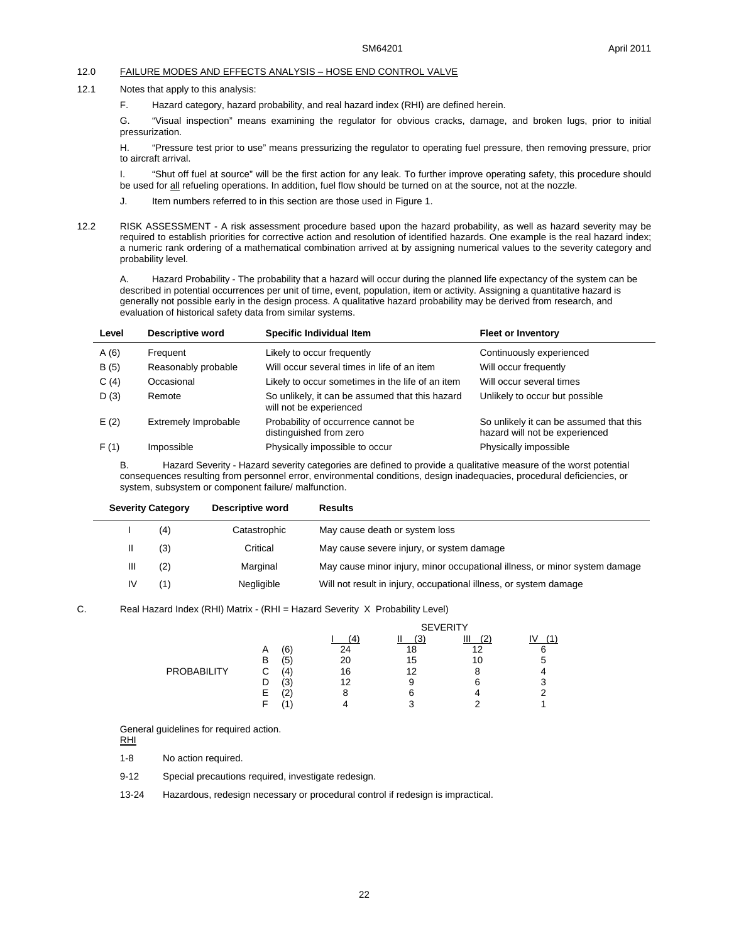#### 12.0 FAILURE MODES AND EFFECTS ANALYSIS – HOSE END CONTROL VALVE

- 12.1 Notes that apply to this analysis:
	- F. Hazard category, hazard probability, and real hazard index (RHI) are defined herein.

G. "Visual inspection" means examining the regulator for obvious cracks, damage, and broken lugs, prior to initial pressurization.

H. "Pressure test prior to use" means pressurizing the regulator to operating fuel pressure, then removing pressure, prior to aircraft arrival.

I. "Shut off fuel at source" will be the first action for any leak. To further improve operating safety, this procedure should be used for all refueling operations. In addition, fuel flow should be turned on at the source, not at the nozzle.

- J. Item numbers referred to in this section are those used in Figure 1.
- 12.2 RISK ASSESSMENT A risk assessment procedure based upon the hazard probability, as well as hazard severity may be required to establish priorities for corrective action and resolution of identified hazards. One example is the real hazard index; a numeric rank ordering of a mathematical combination arrived at by assigning numerical values to the severity category and probability level.

A. Hazard Probability - The probability that a hazard will occur during the planned life expectancy of the system can be described in potential occurrences per unit of time, event, population, item or activity. Assigning a quantitative hazard is generally not possible early in the design process. A qualitative hazard probability may be derived from research, and evaluation of historical safety data from similar systems.

| Level | <b>Descriptive word</b> | Specific Individual Item                                                   | <b>Fleet or Inventory</b>                                                 |
|-------|-------------------------|----------------------------------------------------------------------------|---------------------------------------------------------------------------|
| A(6)  | Frequent                | Likely to occur frequently                                                 | Continuously experienced                                                  |
| B(5)  | Reasonably probable     | Will occur several times in life of an item                                | Will occur frequently                                                     |
| C(4)  | Occasional              | Likely to occur sometimes in the life of an item                           | Will occur several times                                                  |
| D(3)  | Remote                  | So unlikely, it can be assumed that this hazard<br>will not be experienced | Unlikely to occur but possible                                            |
| E(2)  | Extremely Improbable    | Probability of occurrence cannot be<br>distinguished from zero             | So unlikely it can be assumed that this<br>hazard will not be experienced |
| F(1)  | Impossible              | Physically impossible to occur                                             | Physically impossible                                                     |

B. Hazard Severity - Hazard severity categories are defined to provide a qualitative measure of the worst potential consequences resulting from personnel error, environmental conditions, design inadequacies, procedural deficiencies, or system, subsystem or component failure/ malfunction.

| <b>Severity Category</b> |     | Descriptive word | <b>Results</b>                                                             |  |  |  |
|--------------------------|-----|------------------|----------------------------------------------------------------------------|--|--|--|
|                          | (4) | Catastrophic     | May cause death or system loss                                             |  |  |  |
|                          | (3) | Critical         | May cause severe injury, or system damage                                  |  |  |  |
| Ш                        | (2) | Marginal         | May cause minor injury, minor occupational illness, or minor system damage |  |  |  |
| IV                       | (1) | Negligible       | Will not result in injury, occupational illness, or system damage          |  |  |  |

#### C. Real Hazard Index (RHI) Matrix - (RHI = Hazard Severity X Probability Level)

|             |   |            |    | <b>SEVERITY</b> |    |   |  |  |
|-------------|---|------------|----|-----------------|----|---|--|--|
|             |   |            |    | (3)             | Ш  |   |  |  |
|             | A | (6)        | 24 | 18              | 12 | 6 |  |  |
|             | В | ί5΄        | 20 | 15              | 10 |   |  |  |
| PROBABILITY | С | 4          | 16 | 12              |    |   |  |  |
|             |   | 13         | 12 | 9               | 6  |   |  |  |
|             | Е | $\epsilon$ |    |                 |    |   |  |  |
|             |   |            |    | ◠               |    |   |  |  |

General guidelines for required action.

RHI

1-8 No action required.

9-12 Special precautions required, investigate redesign.

13-24 Hazardous, redesign necessary or procedural control if redesign is impractical.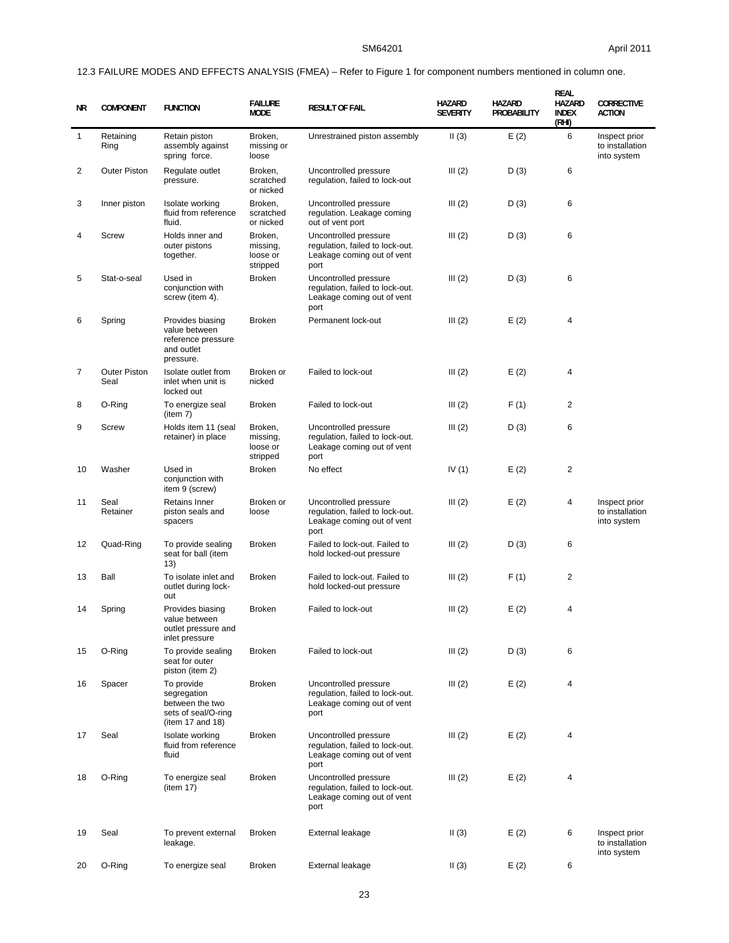# 12.3 FAILURE MODES AND EFFECTS ANALYSIS (FMEA) – Refer to Figure 1 for component numbers mentioned in column one.

| NR           | <b>COMPONENT</b>            | <b>FUNCTION</b>                                                                         | <b>FAILURE</b><br><b>MODE</b>               | <b>RESULT OF FAIL</b>                                                                          | HAZARD<br><b>SEVERITY</b> | HAZARD<br>PROBABILITY | <b>REAL</b><br>HAZARD<br><b>INDEX</b><br>(RHI) | <b>CORRECTIVE</b><br><b>ACTION</b>              |
|--------------|-----------------------------|-----------------------------------------------------------------------------------------|---------------------------------------------|------------------------------------------------------------------------------------------------|---------------------------|-----------------------|------------------------------------------------|-------------------------------------------------|
| $\mathbf{1}$ | Retaining<br>Ring           | Retain piston<br>assembly against<br>spring force.                                      | Broken,<br>missing or<br>loose              | Unrestrained piston assembly                                                                   | II(3)                     | E(2)                  | 6                                              | Inspect prior<br>to installation<br>into system |
| 2            | <b>Outer Piston</b>         | Regulate outlet<br>pressure.                                                            | Broken,<br>scratched<br>or nicked           | Uncontrolled pressure<br>regulation, failed to lock-out                                        | III(2)                    | D(3)                  | 6                                              |                                                 |
| 3            | Inner piston                | Isolate working<br>fluid from reference<br>fluid.                                       | Broken,<br>scratched<br>or nicked           | Uncontrolled pressure<br>regulation. Leakage coming<br>out of vent port                        | III(2)                    | D(3)                  | 6                                              |                                                 |
| 4            | Screw                       | Holds inner and<br>outer pistons<br>together.                                           | Broken,<br>missing,<br>loose or<br>stripped | Uncontrolled pressure<br>regulation, failed to lock-out.<br>Leakage coming out of vent<br>port | III(2)                    | D(3)                  | 6                                              |                                                 |
| 5            | Stat-o-seal                 | Used in<br>conjunction with<br>screw (item 4).                                          | Broken                                      | Uncontrolled pressure<br>regulation, failed to lock-out.<br>Leakage coming out of vent<br>port | III(2)                    | D(3)                  | 6                                              |                                                 |
| 6            | Spring                      | Provides biasing<br>value between<br>reference pressure<br>and outlet<br>pressure.      | <b>Broken</b>                               | Permanent lock-out                                                                             | III(2)                    | E(2)                  | 4                                              |                                                 |
| 7            | <b>Outer Piston</b><br>Seal | Isolate outlet from<br>inlet when unit is<br>locked out                                 | Broken or<br>nicked                         | Failed to lock-out                                                                             | III(2)                    | E(2)                  | 4                                              |                                                 |
| 8            | O-Ring                      | To energize seal<br>(item 7)                                                            | <b>Broken</b>                               | Failed to lock-out                                                                             | III(2)                    | F(1)                  | 2                                              |                                                 |
| 9            | Screw                       | Holds item 11 (seal<br>retainer) in place                                               | Broken,<br>missing,<br>loose or<br>stripped | Uncontrolled pressure<br>regulation, failed to lock-out.<br>Leakage coming out of vent<br>port | III(2)                    | D(3)                  | 6                                              |                                                 |
| 10           | Washer                      | Used in<br>conjunction with<br>item 9 (screw)                                           | <b>Broken</b>                               | No effect                                                                                      | IV $(1)$                  | E(2)                  | 2                                              |                                                 |
| 11           | Seal<br>Retainer            | Retains Inner<br>piston seals and<br>spacers                                            | Broken or<br>loose                          | Uncontrolled pressure<br>regulation, failed to lock-out.<br>Leakage coming out of vent<br>port | III(2)                    | E(2)                  | 4                                              | Inspect prior<br>to installation<br>into system |
| 12           | Quad-Ring                   | To provide sealing<br>seat for ball (item<br>(13)                                       | <b>Broken</b>                               | Failed to lock-out. Failed to<br>hold locked-out pressure                                      | III(2)                    | D(3)                  | 6                                              |                                                 |
| 13           | Ball                        | To isolate inlet and<br>outlet during lock-<br>out                                      | <b>Broken</b>                               | Failed to lock-out. Failed to<br>hold locked-out pressure                                      | III(2)                    | F(1)                  | 2                                              |                                                 |
| 14           | Spring                      | Provides biasing<br>value between<br>outlet pressure and<br>inlet pressure              | <b>Broken</b>                               | Failed to lock-out                                                                             | III(2)                    | E(2)                  | 4                                              |                                                 |
| 15           | O-Ring                      | To provide sealing<br>seat for outer<br>piston (item 2)                                 | <b>Broken</b>                               | Failed to lock-out                                                                             | III(2)                    | D(3)                  | 6                                              |                                                 |
| 16           | Spacer                      | To provide<br>segregation<br>between the two<br>sets of seal/O-ring<br>(item 17 and 18) | <b>Broken</b>                               | Uncontrolled pressure<br>regulation, failed to lock-out.<br>Leakage coming out of vent<br>port | III(2)                    | E(2)                  | 4                                              |                                                 |
| 17           | Seal                        | Isolate working<br>fluid from reference<br>fluid                                        | <b>Broken</b>                               | Uncontrolled pressure<br>regulation, failed to lock-out.<br>Leakage coming out of vent<br>port | III(2)                    | E(2)                  | 4                                              |                                                 |
| 18           | O-Ring                      | To energize seal<br>(item 17)                                                           | <b>Broken</b>                               | Uncontrolled pressure<br>regulation, failed to lock-out.<br>Leakage coming out of vent<br>port | III(2)                    | E(2)                  | 4                                              |                                                 |
| 19           | Seal                        | To prevent external<br>leakage.                                                         | Broken                                      | External leakage                                                                               | II(3)                     | E(2)                  | 6                                              | Inspect prior<br>to installation<br>into system |
| 20           | O-Ring                      | To energize seal                                                                        | Broken                                      | External leakage                                                                               | II(3)                     | E(2)                  | 6                                              |                                                 |